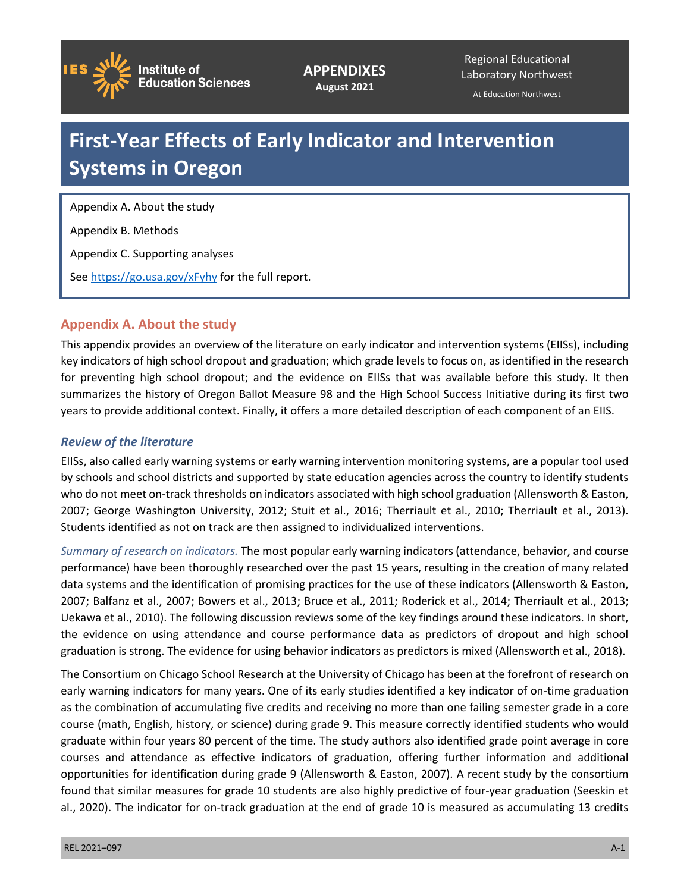

**APPENDIXES August 2021**

Regional Educational Laboratory Northwest

At Education Northwest

# **First-Year Effects of Early Indicator and Intervention Systems in Oregon**

Appendix A. About the study

Appendix B. Methods

Appendix C. Supporting analyses

See<https://go.usa.gov/xFyhy>for the full report.

# **Appendix A. About the study**

This appendix provides an overview of the literature on early indicator and intervention systems (EIISs), including key indicators of high school dropout and graduation; which grade levels to focus on, as identified in the research for preventing high school dropout; and the evidence on EIISs that was available before this study. It then summarizes the history of Oregon Ballot Measure 98 and the High School Success Initiative during its first two years to provide additional context. Finally, it offers a more detailed description of each component of an EIIS.

## *Review of the literature*

EIISs, also called early warning systems or early warning intervention monitoring systems, are a popular tool used by schools and school districts and supported by state education agencies across the country to identify students who do not meet on-track thresholds on indicators associated with high school graduation (Allensworth & Easton, 2007; George Washington University, 2012; Stuit et al., 2016; Therriault et al., 2010; Therriault et al., 2013). Students identified as not on track are then assigned to individualized interventions.

*Summary of research on indicators.* The most popular early warning indicators (attendance, behavior, and course performance) have been thoroughly researched over the past 15 years, resulting in the creation of many related data systems and the identification of promising practices for the use of these indicators (Allensworth & Easton, 2007; Balfanz et al., 2007; Bowers et al., 2013; Bruce et al., 2011; Roderick et al., 2014; Therriault et al., 2013; Uekawa et al., 2010). The following discussion reviews some of the key findings around these indicators. In short, the evidence on using attendance and course performance data as predictors of dropout and high school graduation is strong. The evidence for using behavior indicators as predictors is mixed (Allensworth et al., 2018).

The Consortium on Chicago School Research at the University of Chicago has been at the forefront of research on early warning indicators for many years. One of its early studies identified a key indicator of on-time graduation as the combination of accumulating five credits and receiving no more than one failing semester grade in a core course (math, English, history, or science) during grade 9. This measure correctly identified students who would graduate within four years 80 percent of the time. The study authors also identified grade point average in core courses and attendance as effective indicators of graduation, offering further information and additional opportunities for identification during grade 9 (Allensworth & Easton, 2007). A recent study by the consortium found that similar measures for grade 10 students are also highly predictive of four-year graduation (Seeskin et al., 2020). The indicator for on-track graduation at the end of grade 10 is measured as accumulating 13 credits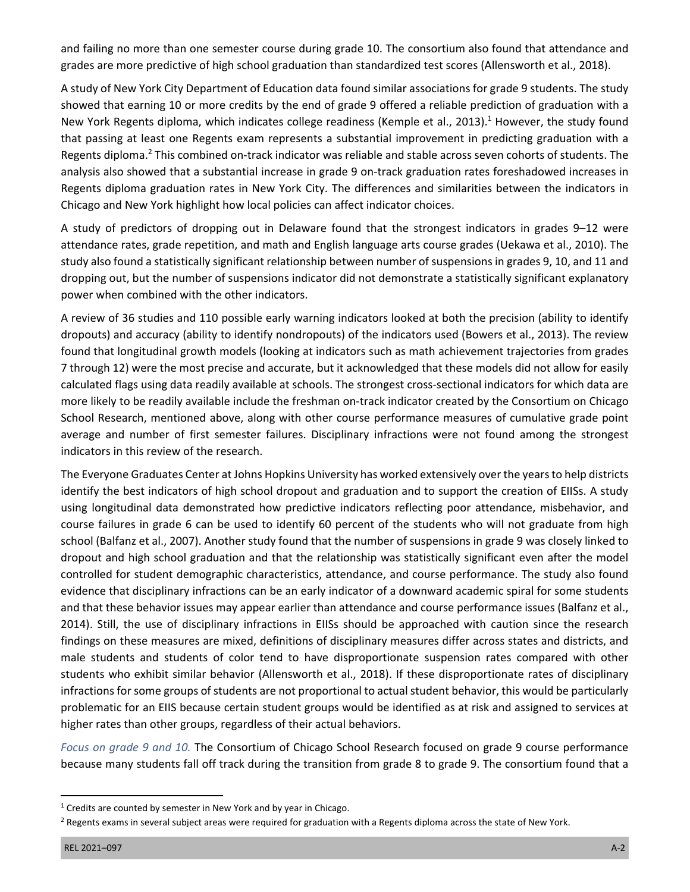and failing no more than one semester course during grade 10. The consortium also found that attendance and grades are more predictive of high school graduation than standardized test scores (Allensworth et al., 2018).

A study of New York City Department of Education data found similar associations for grade 9 students. The study showed that earning 10 or more credits by the end of grade 9 offered a reliable prediction of graduation with a New York Regents diploma, which indicates college readiness (Kemple et al., 2013).<sup>1</sup> However, the study found that passing at least one Regents exam represents a substantial improvement in predicting graduation with a Regents diploma.<sup>2</sup> This combined on-track indicator was reliable and stable across seven cohorts of students. The analysis also showed that a substantial increase in grade 9 on-track graduation rates foreshadowed increases in Regents diploma graduation rates in New York City. The differences and similarities between the indicators in Chicago and New York highlight how local policies can affect indicator choices.

A study of predictors of dropping out in Delaware found that the strongest indicators in grades 9–12 were attendance rates, grade repetition, and math and English language arts course grades (Uekawa et al., 2010). The study also found a statistically significant relationship between number of suspensions in grades 9, 10, and 11 and dropping out, but the number of suspensions indicator did not demonstrate a statistically significant explanatory power when combined with the other indicators.

A review of 36 studies and 110 possible early warning indicators looked at both the precision (ability to identify dropouts) and accuracy (ability to identify nondropouts) of the indicators used (Bowers et al., 2013). The review found that longitudinal growth models (looking at indicators such as math achievement trajectories from grades 7 through 12) were the most precise and accurate, but it acknowledged that these models did not allow for easily calculated flags using data readily available at schools. The strongest cross-sectional indicators for which data are more likely to be readily available include the freshman on-track indicator created by the Consortium on Chicago School Research, mentioned above, along with other course performance measures of cumulative grade point average and number of first semester failures. Disciplinary infractions were not found among the strongest indicators in this review of the research.

The Everyone Graduates Center at Johns Hopkins University has worked extensively over the years to help districts identify the best indicators of high school dropout and graduation and to support the creation of EIISs. A study using longitudinal data demonstrated how predictive indicators reflecting poor attendance, misbehavior, and course failures in grade 6 can be used to identify 60 percent of the students who will not graduate from high school (Balfanz et al., 2007). Another study found that the number of suspensions in grade 9 was closely linked to dropout and high school graduation and that the relationship was statistically significant even after the model controlled for student demographic characteristics, attendance, and course performance. The study also found evidence that disciplinary infractions can be an early indicator of a downward academic spiral for some students and that these behavior issues may appear earlier than attendance and course performance issues (Balfanz et al., 2014). Still, the use of disciplinary infractions in EIISs should be approached with caution since the research findings on these measures are mixed, definitions of disciplinary measures differ across states and districts, and male students and students of color tend to have disproportionate suspension rates compared with other students who exhibit similar behavior (Allensworth et al., 2018). If these disproportionate rates of disciplinary infractions for some groups of students are not proportional to actual student behavior, this would be particularly problematic for an EIIS because certain student groups would be identified as at risk and assigned to services at higher rates than other groups, regardless of their actual behaviors.

*Focus on grade 9 and 10.* The Consortium of Chicago School Research focused on grade 9 course performance because many students fall off track during the transition from grade 8 to grade 9. The consortium found that a

 $1$  Credits are counted by semester in New York and by year in Chicago.

<sup>&</sup>lt;sup>2</sup> Regents exams in several subject areas were required for graduation with a Regents diploma across the state of New York.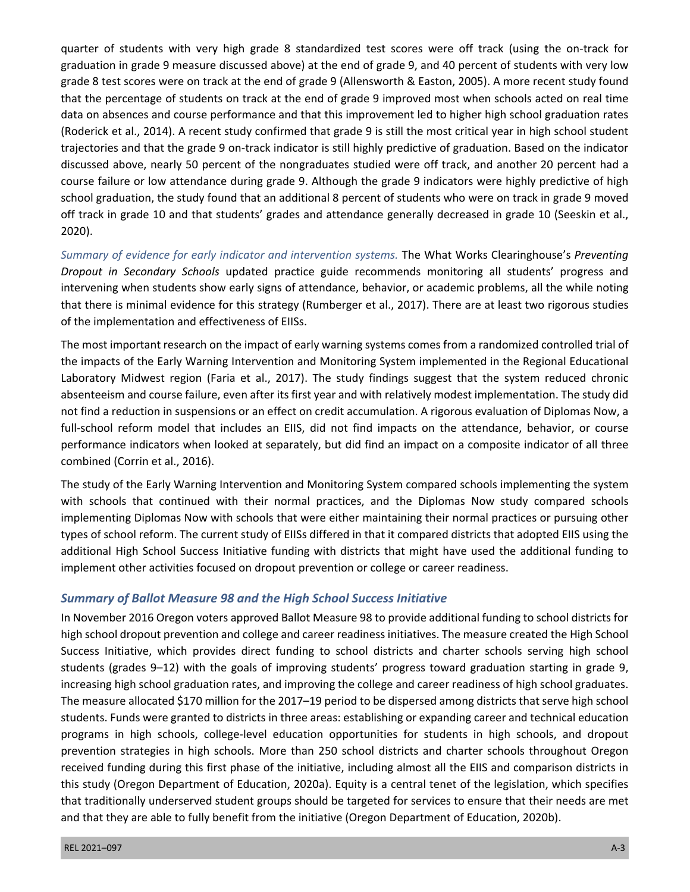quarter of students with very high grade 8 standardized test scores were off track (using the on-track for graduation in grade 9 measure discussed above) at the end of grade 9, and 40 percent of students with very low grade 8 test scores were on track at the end of grade 9 (Allensworth & Easton, 2005). A more recent study found that the percentage of students on track at the end of grade 9 improved most when schools acted on real time data on absences and course performance and that this improvement led to higher high school graduation rates (Roderick et al., 2014). A recent study confirmed that grade 9 is still the most critical year in high school student trajectories and that the grade 9 on-track indicator is still highly predictive of graduation. Based on the indicator discussed above, nearly 50 percent of the nongraduates studied were off track, and another 20 percent had a course failure or low attendance during grade 9. Although the grade 9 indicators were highly predictive of high school graduation, the study found that an additional 8 percent of students who were on track in grade 9 moved off track in grade 10 and that students' grades and attendance generally decreased in grade 10 (Seeskin et al., 2020).

*Summary of evidence for early indicator and intervention systems.* The What Works Clearinghouse's *Preventing Dropout in Secondary Schools* updated practice guide recommends monitoring all students' progress and intervening when students show early signs of attendance, behavior, or academic problems, all the while noting that there is minimal evidence for this strategy (Rumberger et al., 2017). There are at least two rigorous studies of the implementation and effectiveness of EIISs.

The most important research on the impact of early warning systems comes from a randomized controlled trial of the impacts of the Early Warning Intervention and Monitoring System implemented in the Regional Educational Laboratory Midwest region (Faria et al., 2017). The study findings suggest that the system reduced chronic absenteeism and course failure, even after its first year and with relatively modest implementation. The study did not find a reduction in suspensions or an effect on credit accumulation. A rigorous evaluation of Diplomas Now, a full-school reform model that includes an EIIS, did not find impacts on the attendance, behavior, or course performance indicators when looked at separately, but did find an impact on a composite indicator of all three combined (Corrin et al., 2016).

The study of the Early Warning Intervention and Monitoring System compared schools implementing the system with schools that continued with their normal practices, and the Diplomas Now study compared schools implementing Diplomas Now with schools that were either maintaining their normal practices or pursuing other types of school reform. The current study of EIISs differed in that it compared districts that adopted EIIS using the additional High School Success Initiative funding with districts that might have used the additional funding to implement other activities focused on dropout prevention or college or career readiness.

## *Summary of Ballot Measure 98 and the High School Success Initiative*

In November 2016 Oregon voters approved Ballot Measure 98 to provide additional funding to school districts for high school dropout prevention and college and career readiness initiatives. The measure created the High School Success Initiative, which provides direct funding to school districts and charter schools serving high school students (grades 9–12) with the goals of improving students' progress toward graduation starting in grade 9, increasing high school graduation rates, and improving the college and career readiness of high school graduates. The measure allocated \$170 million for the 2017–19 period to be dispersed among districts that serve high school students. Funds were granted to districts in three areas: establishing or expanding career and technical education programs in high schools, college-level education opportunities for students in high schools, and dropout prevention strategies in high schools. More than 250 school districts and charter schools throughout Oregon received funding during this first phase of the initiative, including almost all the EIIS and comparison districts in this study (Oregon Department of Education, 2020a). Equity is a central tenet of the legislation, which specifies that traditionally underserved student groups should be targeted for services to ensure that their needs are met and that they are able to fully benefit from the initiative (Oregon Department of Education, 2020b).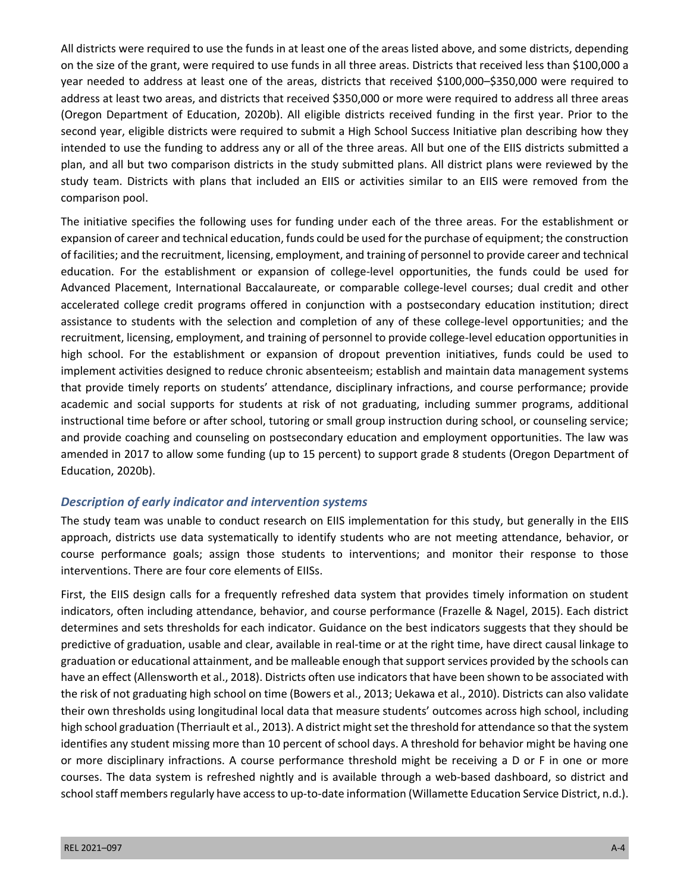All districts were required to use the funds in at least one of the areas listed above, and some districts, depending on the size of the grant, were required to use funds in all three areas. Districts that received less than \$100,000 a year needed to address at least one of the areas, districts that received \$100,000–\$350,000 were required to address at least two areas, and districts that received \$350,000 or more were required to address all three areas (Oregon Department of Education, 2020b). All eligible districts received funding in the first year. Prior to the second year, eligible districts were required to submit a High School Success Initiative plan describing how they intended to use the funding to address any or all of the three areas. All but one of the EIIS districts submitted a plan, and all but two comparison districts in the study submitted plans. All district plans were reviewed by the study team. Districts with plans that included an EIIS or activities similar to an EIIS were removed from the comparison pool.

The initiative specifies the following uses for funding under each of the three areas. For the establishment or expansion of career and technical education, funds could be used for the purchase of equipment; the construction of facilities; and the recruitment, licensing, employment, and training of personnel to provide career and technical education. For the establishment or expansion of college-level opportunities, the funds could be used for Advanced Placement, International Baccalaureate, or comparable college-level courses; dual credit and other accelerated college credit programs offered in conjunction with a postsecondary education institution; direct assistance to students with the selection and completion of any of these college-level opportunities; and the recruitment, licensing, employment, and training of personnel to provide college-level education opportunities in high school. For the establishment or expansion of dropout prevention initiatives, funds could be used to implement activities designed to reduce chronic absenteeism; establish and maintain data management systems that provide timely reports on students' attendance, disciplinary infractions, and course performance; provide academic and social supports for students at risk of not graduating, including summer programs, additional instructional time before or after school, tutoring or small group instruction during school, or counseling service; and provide coaching and counseling on postsecondary education and employment opportunities. The law was amended in 2017 to allow some funding (up to 15 percent) to support grade 8 students (Oregon Department of Education, 2020b).

#### *Description of early indicator and intervention systems*

The study team was unable to conduct research on EIIS implementation for this study, but generally in the EIIS approach, districts use data systematically to identify students who are not meeting attendance, behavior, or course performance goals; assign those students to interventions; and monitor their response to those interventions. There are four core elements of EIISs.

First, the EIIS design calls for a frequently refreshed data system that provides timely information on student indicators, often including attendance, behavior, and course performance (Frazelle & Nagel, 2015). Each district determines and sets thresholds for each indicator. Guidance on the best indicators suggests that they should be predictive of graduation, usable and clear, available in real-time or at the right time, have direct causal linkage to graduation or educational attainment, and be malleable enough that support services provided by the schools can have an effect (Allensworth et al., 2018). Districts often use indicators that have been shown to be associated with the risk of not graduating high school on time (Bowers et al., 2013; Uekawa et al., 2010). Districts can also validate their own thresholds using longitudinal local data that measure students' outcomes across high school, including high school graduation (Therriault et al., 2013). A district might set the threshold for attendance so that the system identifies any student missing more than 10 percent of school days. A threshold for behavior might be having one or more disciplinary infractions. A course performance threshold might be receiving a D or F in one or more courses. The data system is refreshed nightly and is available through a web-based dashboard, so district and school staff members regularly have access to up-to-date information (Willamette Education Service District, n.d.).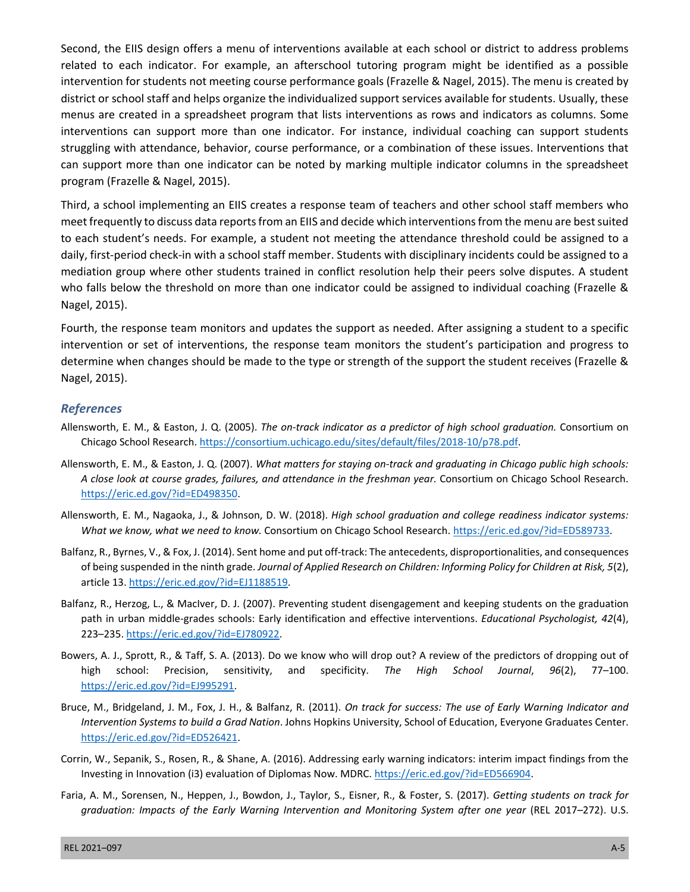Second, the EIIS design offers a menu of interventions available at each school or district to address problems related to each indicator. For example, an afterschool tutoring program might be identified as a possible intervention for students not meeting course performance goals (Frazelle & Nagel, 2015). The menu is created by district or school staff and helps organize the individualized support services available for students. Usually, these menus are created in a spreadsheet program that lists interventions as rows and indicators as columns. Some interventions can support more than one indicator. For instance, individual coaching can support students struggling with attendance, behavior, course performance, or a combination of these issues. Interventions that can support more than one indicator can be noted by marking multiple indicator columns in the spreadsheet program (Frazelle & Nagel, 2015).

Third, a school implementing an EIIS creates a response team of teachers and other school staff members who meet frequently to discuss data reports from an EIIS and decide which interventions from the menu are best suited to each student's needs. For example, a student not meeting the attendance threshold could be assigned to a daily, first-period check-in with a school staff member. Students with disciplinary incidents could be assigned to a mediation group where other students trained in conflict resolution help their peers solve disputes. A student who falls below the threshold on more than one indicator could be assigned to individual coaching (Frazelle & Nagel, 2015).

Fourth, the response team monitors and updates the support as needed. After assigning a student to a specific intervention or set of interventions, the response team monitors the student's participation and progress to determine when changes should be made to the type or strength of the support the student receives (Frazelle & Nagel, 2015).

#### *References*

- Allensworth, E. M., & Easton, J. Q. (2005). *The on-track indicator as a predictor of high school graduation.* Consortium on Chicago School Research. [https://consortium.uchicago.edu/sites/default/files/2018-10/p78.pdf.](https://consortium.uchicago.edu/sites/default/files/2018-10/p78.pdf)
- Allensworth, E. M., & Easton, J. Q. (2007). *What matters for staying on-track and graduating in Chicago public high schools: A close look at course grades, failures, and attendance in the freshman year.* Consortium on Chicago School Research. [https://eric.ed.gov/?id=ED498350.](https://eric.ed.gov/?id=ED498350)
- Allensworth, E. M., Nagaoka, J., & Johnson, D. W. (2018). *High school graduation and college readiness indicator systems: What we know, what we need to know.* Consortium on Chicago School Research. [https://eric.ed.gov/?id=ED589733.](https://eric.ed.gov/?id=ED589733)
- Balfanz, R., Byrnes, V., & Fox, J. (2014). Sent home and put off-track: The antecedents, disproportionalities, and consequences of being suspended in the ninth grade. *Journal of Applied Research on Children: Informing Policy for Children at Risk, 5*(2), article 13. [https://eric.ed.gov/?id=EJ1188519.](https://eric.ed.gov/?id=EJ1188519)
- Balfanz, R., Herzog, L., & MacIver, D. J. (2007). Preventing student disengagement and keeping students on the graduation path in urban middle-grades schools: Early identification and effective interventions. *Educational Psychologist, 42*(4), 223–235. <https://eric.ed.gov/?id=EJ780922>.
- Bowers, A. J., Sprott, R., & Taff, S. A. (2013). Do we know who will drop out? A review of the predictors of dropping out of high school: Precision, sensitivity, and specificity. *The High School Journal*, *96*(2), 77–100. <https://eric.ed.gov/?id=EJ995291>.
- Bruce, M., Bridgeland, J. M., Fox, J. H., & Balfanz, R. (2011). *On track for success: The use of Early Warning Indicator and Intervention Systems to build a Grad Nation*. Johns Hopkins University, School of Education, Everyone Graduates Center. [https://eric.ed.gov/?id=ED526421.](https://eric.ed.gov/?id=ED526421)
- Corrin, W., Sepanik, S., Rosen, R., & Shane, A. (2016). Addressing early warning indicators: interim impact findings from the Investing in Innovation (i3) evaluation of Diplomas Now. MDRC. [https://eric.ed.gov/?id=ED566904.](https://eric.ed.gov/?id=ED566904)
- Faria, A. M., Sorensen, N., Heppen, J., Bowdon, J., Taylor, S., Eisner, R., & Foster, S. (2017). *Getting students on track for graduation: Impacts of the Early Warning Intervention and Monitoring System after one year* (REL 2017–272). U.S.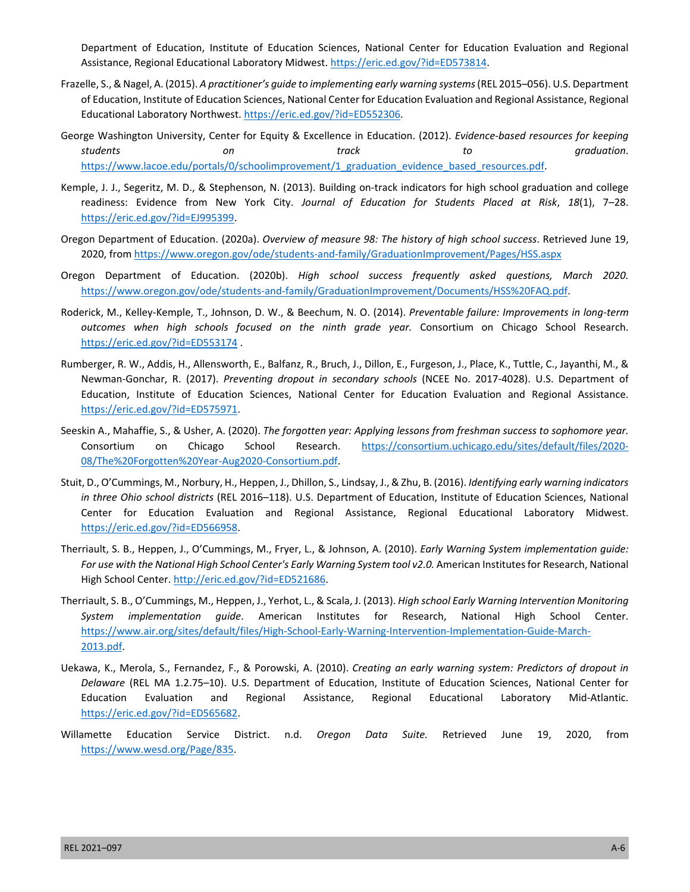Department of Education, Institute of Education Sciences, National Center for Education Evaluation and Regional Assistance, Regional Educational Laboratory Midwest. [https://eric.ed.gov/?id=ED573814.](https://eric.ed.gov/?id=ED573814)

- Frazelle, S., & Nagel, A. (2015). *A practitioner's guide to implementing early warning systems* (REL 2015–056). U.S. Department of Education, Institute of Education Sciences, National Center for Education Evaluation and Regional Assistance, Regional Educational Laboratory Northwest. <https://eric.ed.gov/?id=ED552306>.
- George Washington University, Center for Equity & Excellence in Education. (2012). *Evidence-based resources for keeping students on track to graduation*. [https://www.lacoe.edu/portals/0/schoolimprovement/1\\_graduation\\_evidence\\_based\\_resources.pdf.](https://www.lacoe.edu/portals/0/schoolimprovement/1_graduation_evidence_based_resources.pdf)
- Kemple, J. J., Segeritz, M. D., & Stephenson, N. (2013). Building on-track indicators for high school graduation and college readiness: Evidence from New York City. *Journal of Education for Students Placed at Risk*, *18*(1), 7–28. [https://eric.ed.gov/?id=EJ995399.](https://eric.ed.gov/?id=EJ995399)
- Oregon Department of Education. (2020a). *Overview of measure 98: The history of high school success*. Retrieved June 19, 2020, from <https://www.oregon.gov/ode/students-and-family/GraduationImprovement/Pages/HSS.aspx>
- Oregon Department of Education. (2020b). *High school success frequently asked questions, March 2020.* [https://www.oregon.gov/ode/students-and-family/GraduationImprovement/Documents/HSS%20FAQ.pdf.](https://www.oregon.gov/ode/students-and-family/GraduationImprovement/Documents/HSS%20FAQ.pdf)
- Roderick, M., Kelley-Kemple, T., Johnson, D. W., & Beechum, N. O. (2014). *Preventable failure: Improvements in long-term outcomes when high schools focused on the ninth grade year.* Consortium on Chicago School Research. <https://eric.ed.gov/?id=ED553174>.
- Rumberger, R. W., Addis, H., Allensworth, E., Balfanz, R., Bruch, J., Dillon, E., Furgeson, J., Place, K., Tuttle, C., Jayanthi, M., & Newman-Gonchar, R. (2017). *Preventing dropout in secondary schools* (NCEE No. 2017-4028). U.S. Department of Education, Institute of Education Sciences, National Center for Education Evaluation and Regional Assistance. [https://eric.ed.gov/?id=ED575971.](https://eric.ed.gov/?id=ED575971)
- Seeskin A., Mahaffie, S., & Usher, A. (2020). *The forgotten year: Applying lessons from freshman success to sophomore year.* Consortium on Chicago School Research. [https://consortium.uchicago.edu/sites/default/files/2020-](https://consortium.uchicago.edu/sites/default/files/2020-08/The%20Forgotten%20Year-Aug2020-Consortium.pdf) [08/The%20Forgotten%20Year-Aug2020-Consortium.pdf.](https://consortium.uchicago.edu/sites/default/files/2020-08/The%20Forgotten%20Year-Aug2020-Consortium.pdf)
- Stuit, D., O'Cummings, M., Norbury, H., Heppen, J., Dhillon, S., Lindsay, J., & Zhu, B. (2016). *Identifying early warning indicators in three Ohio school districts* (REL 2016–118). U.S. Department of Education, Institute of Education Sciences, National Center for Education Evaluation and Regional Assistance, Regional Educational Laboratory Midwest. [https://eric.ed.gov/?id=ED566958.](https://eric.ed.gov/?id=ED566958)
- Therriault, S. B., Heppen, J., O'Cummings, M., Fryer, L., & Johnson, A. (2010). *Early Warning System implementation guide: For use with the National High School Center's Early Warning System tool v2.0.* American Institutes for Research, National High School Center. [http://eric.ed.gov/?id=ED521686.](http://eric.ed.gov/?id=ED521686)
- Therriault, S. B., O'Cummings, M., Heppen, J., Yerhot, L., & Scala, J. (2013). *High school Early Warning Intervention Monitoring System implementation guide*. American Institutes for Research, National High School Center. [https://www.air.org/sites/default/files/High-School-Early-Warning-Intervention-Implementation-Guide-March-](https://www.air.org/sites/default/files/High-School-Early-Warning-Intervention-Implementation-Guide-March-2013.pdf)[2013.pdf.](https://www.air.org/sites/default/files/High-School-Early-Warning-Intervention-Implementation-Guide-March-2013.pdf)
- Uekawa, K., Merola, S., Fernandez, F., & Porowski, A. (2010). *Creating an early warning system: Predictors of dropout in Delaware* (REL MA 1.2.75–10). U.S. Department of Education, Institute of Education Sciences, National Center for Education Evaluation and Regional Assistance, Regional Educational Laboratory Mid-Atlantic. [https://eric.ed.gov/?id=ED565682.](https://eric.ed.gov/?id=ED565682)
- Willamette Education Service District. n.d. *Oregon Data Suite.* Retrieved June 19, 2020, from [https://www.wesd.org/Page/835.](https://www.wesd.org/Page/835)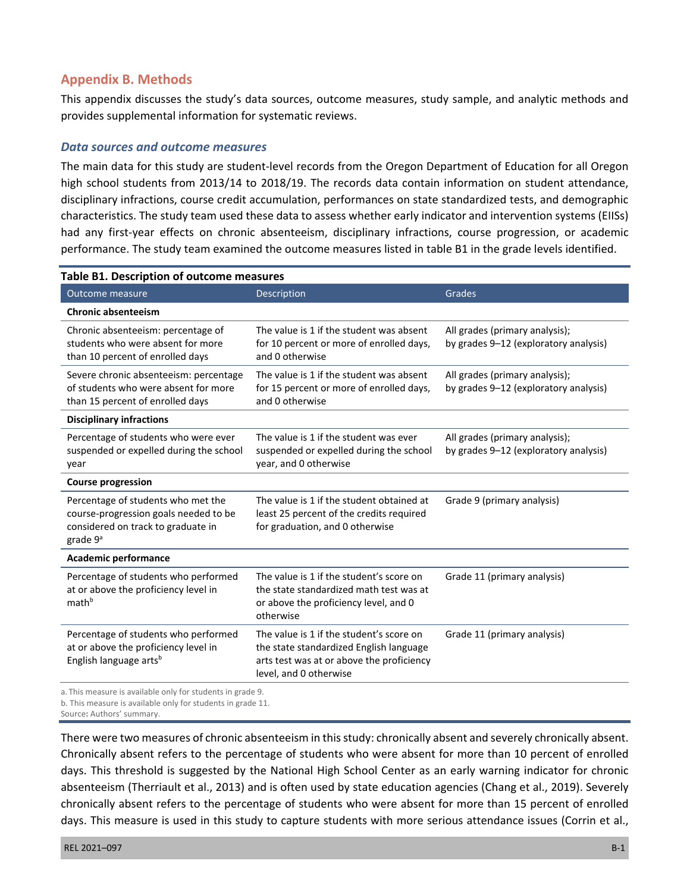## **Appendix B. Methods**

This appendix discusses the study's data sources, outcome measures, study sample, and analytic methods and provides supplemental information for systematic reviews.

#### *Data sources and outcome measures*

The main data for this study are student-level records from the Oregon Department of Education for all Oregon high school students from 2013/14 to 2018/19. The records data contain information on student attendance, disciplinary infractions, course credit accumulation, performances on state standardized tests, and demographic characteristics. The study team used these data to assess whether early indicator and intervention systems (EIISs) had any first-year effects on chronic absenteeism, disciplinary infractions, course progression, or academic performance. The study team examined the outcome measures listed in table B1 in the grade levels identified.

| Outcome measure                                                                                                                  | <b>Description</b>                                                                                                                                         | Grades                                                                  |  |
|----------------------------------------------------------------------------------------------------------------------------------|------------------------------------------------------------------------------------------------------------------------------------------------------------|-------------------------------------------------------------------------|--|
| <b>Chronic absenteeism</b>                                                                                                       |                                                                                                                                                            |                                                                         |  |
| Chronic absenteeism: percentage of<br>students who were absent for more<br>than 10 percent of enrolled days                      | The value is 1 if the student was absent<br>for 10 percent or more of enrolled days,<br>and 0 otherwise                                                    | All grades (primary analysis);<br>by grades 9-12 (exploratory analysis) |  |
| Severe chronic absenteeism: percentage<br>of students who were absent for more<br>than 15 percent of enrolled days               | The value is 1 if the student was absent<br>for 15 percent or more of enrolled days,<br>and 0 otherwise                                                    | All grades (primary analysis);<br>by grades 9-12 (exploratory analysis) |  |
| <b>Disciplinary infractions</b>                                                                                                  |                                                                                                                                                            |                                                                         |  |
| Percentage of students who were ever<br>suspended or expelled during the school<br>year                                          | The value is 1 if the student was ever<br>suspended or expelled during the school<br>year, and 0 otherwise                                                 | All grades (primary analysis);<br>by grades 9-12 (exploratory analysis) |  |
| <b>Course progression</b>                                                                                                        |                                                                                                                                                            |                                                                         |  |
| Percentage of students who met the<br>course-progression goals needed to be<br>considered on track to graduate in<br>grade $9^a$ | The value is 1 if the student obtained at<br>least 25 percent of the credits required<br>for graduation, and 0 otherwise                                   | Grade 9 (primary analysis)                                              |  |
| <b>Academic performance</b>                                                                                                      |                                                                                                                                                            |                                                                         |  |
| Percentage of students who performed<br>at or above the proficiency level in<br>math <sup>b</sup>                                | The value is 1 if the student's score on<br>the state standardized math test was at<br>or above the proficiency level, and 0<br>otherwise                  | Grade 11 (primary analysis)                                             |  |
| Percentage of students who performed<br>at or above the proficiency level in<br>English language arts <sup>b</sup>               | The value is 1 if the student's score on<br>the state standardized English language<br>arts test was at or above the proficiency<br>level, and 0 otherwise | Grade 11 (primary analysis)                                             |  |

a. This measure is available only for students in grade 9.

b. This measure is available only for students in grade 11.

Source**:** Authors' summary.

There were two measures of chronic absenteeism in this study: chronically absent and severely chronically absent. Chronically absent refers to the percentage of students who were absent for more than 10 percent of enrolled days. This threshold is suggested by the National High School Center as an early warning indicator for chronic absenteeism (Therriault et al., 2013) and is often used by state education agencies (Chang et al., 2019). Severely chronically absent refers to the percentage of students who were absent for more than 15 percent of enrolled days. This measure is used in this study to capture students with more serious attendance issues (Corrin et al.,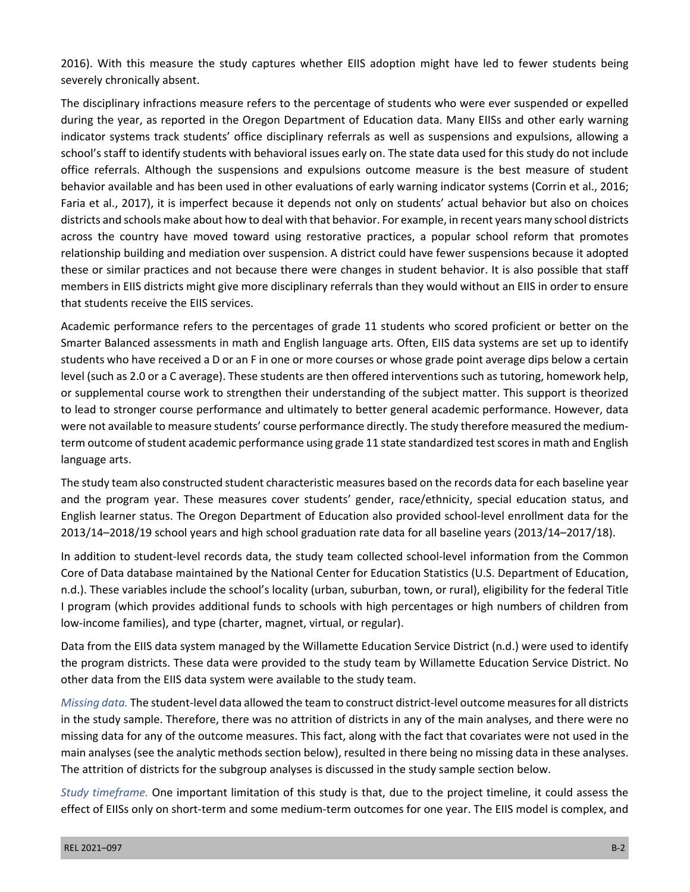2016). With this measure the study captures whether EIIS adoption might have led to fewer students being severely chronically absent.

The disciplinary infractions measure refers to the percentage of students who were ever suspended or expelled during the year, as reported in the Oregon Department of Education data. Many EIISs and other early warning indicator systems track students' office disciplinary referrals as well as suspensions and expulsions, allowing a school's staff to identify students with behavioral issues early on. The state data used for this study do not include office referrals. Although the suspensions and expulsions outcome measure is the best measure of student behavior available and has been used in other evaluations of early warning indicator systems (Corrin et al., 2016; Faria et al., 2017), it is imperfect because it depends not only on students' actual behavior but also on choices districts and schools make about how to deal with that behavior. For example, in recent years many school districts across the country have moved toward using restorative practices, a popular school reform that promotes relationship building and mediation over suspension. A district could have fewer suspensions because it adopted these or similar practices and not because there were changes in student behavior. It is also possible that staff members in EIIS districts might give more disciplinary referrals than they would without an EIIS in order to ensure that students receive the EIIS services.

Academic performance refers to the percentages of grade 11 students who scored proficient or better on the Smarter Balanced assessments in math and English language arts. Often, EIIS data systems are set up to identify students who have received a D or an F in one or more courses or whose grade point average dips below a certain level (such as 2.0 or a C average). These students are then offered interventions such as tutoring, homework help, or supplemental course work to strengthen their understanding of the subject matter. This support is theorized to lead to stronger course performance and ultimately to better general academic performance. However, data were not available to measure students' course performance directly. The study therefore measured the mediumterm outcome of student academic performance using grade 11 state standardized test scores in math and English language arts.

The study team also constructed student characteristic measures based on the records data for each baseline year and the program year. These measures cover students' gender, race/ethnicity, special education status, and English learner status. The Oregon Department of Education also provided school-level enrollment data for the 2013/14–2018/19 school years and high school graduation rate data for all baseline years (2013/14–2017/18).

In addition to student-level records data, the study team collected school-level information from the Common Core of Data database maintained by the National Center for Education Statistics (U.S. Department of Education, n.d.). These variables include the school's locality (urban, suburban, town, or rural), eligibility for the federal Title I program (which provides additional funds to schools with high percentages or high numbers of children from low-income families), and type (charter, magnet, virtual, or regular).

Data from the EIIS data system managed by the Willamette Education Service District (n.d.) were used to identify the program districts. These data were provided to the study team by Willamette Education Service District. No other data from the EIIS data system were available to the study team.

*Missing data.* The student-level data allowed the team to construct district-level outcome measures for all districts in the study sample. Therefore, there was no attrition of districts in any of the main analyses, and there were no missing data for any of the outcome measures. This fact, along with the fact that covariates were not used in the main analyses (see the analytic methods section below), resulted in there being no missing data in these analyses. The attrition of districts for the subgroup analyses is discussed in the study sample section below.

*Study timeframe.* One important limitation of this study is that, due to the project timeline, it could assess the effect of EIISs only on short-term and some medium-term outcomes for one year. The EIIS model is complex, and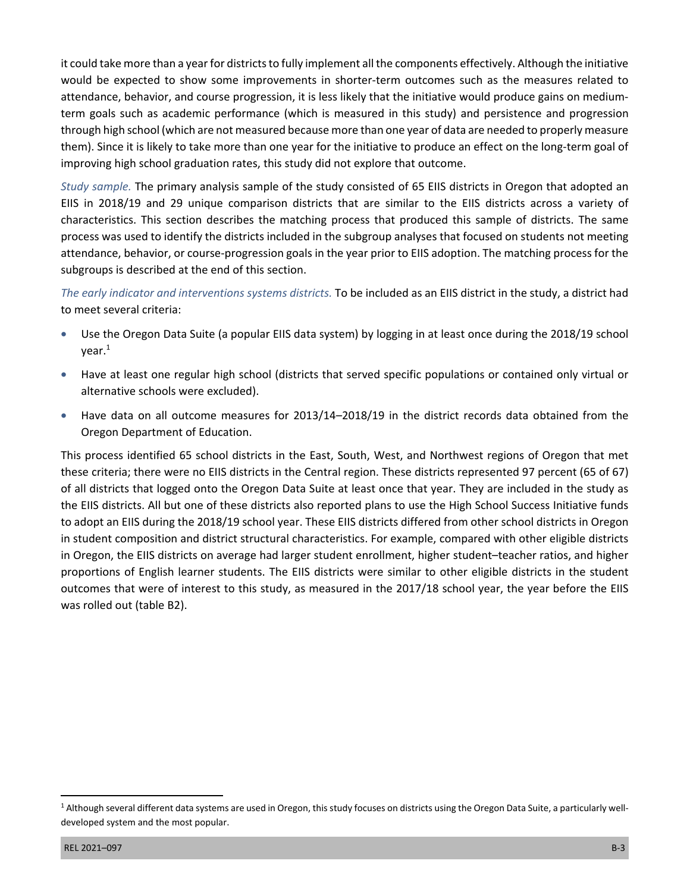it could take more than a year for districts to fully implement all the components effectively. Although the initiative would be expected to show some improvements in shorter-term outcomes such as the measures related to attendance, behavior, and course progression, it is less likely that the initiative would produce gains on mediumterm goals such as academic performance (which is measured in this study) and persistence and progression through high school (which are not measured because more than one year of data are needed to properly measure them). Since it is likely to take more than one year for the initiative to produce an effect on the long-term goal of improving high school graduation rates, this study did not explore that outcome.

*Study sample.* The primary analysis sample of the study consisted of 65 EIIS districts in Oregon that adopted an EIIS in 2018/19 and 29 unique comparison districts that are similar to the EIIS districts across a variety of characteristics. This section describes the matching process that produced this sample of districts. The same process was used to identify the districts included in the subgroup analyses that focused on students not meeting attendance, behavior, or course-progression goals in the year prior to EIIS adoption. The matching process for the subgroups is described at the end of this section.

*The early indicator and interventions systems districts.* To be included as an EIIS district in the study, a district had to meet several criteria:

- Use the Oregon Data Suite (a popular EIIS data system) by logging in at least once during the 2018/19 school year.1
- Have at least one regular high school (districts that served specific populations or contained only virtual or alternative schools were excluded).
- Have data on all outcome measures for 2013/14–2018/19 in the district records data obtained from the Oregon Department of Education.

This process identified 65 school districts in the East, South, West, and Northwest regions of Oregon that met these criteria; there were no EIIS districts in the Central region. These districts represented 97 percent (65 of 67) of all districts that logged onto the Oregon Data Suite at least once that year. They are included in the study as the EIIS districts. All but one of these districts also reported plans to use the High School Success Initiative funds to adopt an EIIS during the 2018/19 school year. These EIIS districts differed from other school districts in Oregon in student composition and district structural characteristics. For example, compared with other eligible districts in Oregon, the EIIS districts on average had larger student enrollment, higher student–teacher ratios, and higher proportions of English learner students. The EIIS districts were similar to other eligible districts in the student outcomes that were of interest to this study, as measured in the 2017/18 school year, the year before the EIIS was rolled out (table B2).

<sup>&</sup>lt;sup>1</sup> Although several different data systems are used in Oregon, this study focuses on districts using the Oregon Data Suite, a particularly welldeveloped system and the most popular.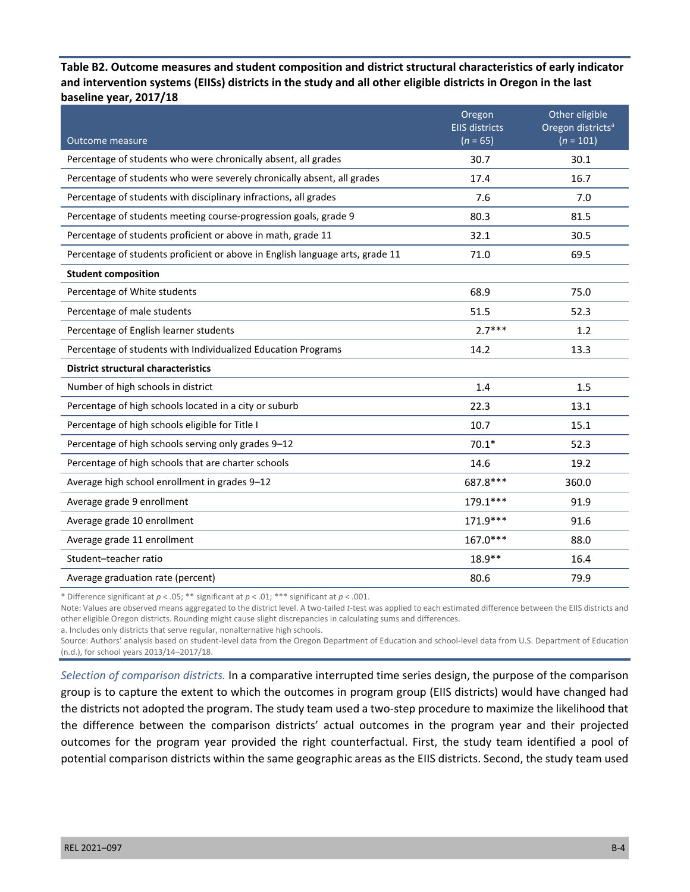**Table B2. Outcome measures and student composition and district structural characteristics of early indicator and intervention systems (EIISs) districts in the study and all other eligible districts in Oregon in the last baseline year, 2017/18** 

|                                                                               | Oregon<br><b>EIIS districts</b> | Other eligible<br>Oregon districts <sup>a</sup> |
|-------------------------------------------------------------------------------|---------------------------------|-------------------------------------------------|
| <b>Outcome measure</b>                                                        | $(n = 65)$                      | $(n = 101)$                                     |
| Percentage of students who were chronically absent, all grades                | 30.7                            | 30.1                                            |
| Percentage of students who were severely chronically absent, all grades       | 17.4                            | 16.7                                            |
| Percentage of students with disciplinary infractions, all grades              | 7.6                             | 7.0                                             |
| Percentage of students meeting course-progression goals, grade 9              | 80.3                            | 81.5                                            |
| Percentage of students proficient or above in math, grade 11                  | 32.1                            | 30.5                                            |
| Percentage of students proficient or above in English language arts, grade 11 | 71.0                            | 69.5                                            |
| <b>Student composition</b>                                                    |                                 |                                                 |
| Percentage of White students                                                  | 68.9                            | 75.0                                            |
| Percentage of male students                                                   | 51.5                            | 52.3                                            |
| Percentage of English learner students                                        | $2.7***$                        | 1.2                                             |
| Percentage of students with Individualized Education Programs                 | 14.2                            | 13.3                                            |
| <b>District structural characteristics</b>                                    |                                 |                                                 |
| Number of high schools in district                                            | 1.4                             | 1.5                                             |
| Percentage of high schools located in a city or suburb                        | 22.3                            | 13.1                                            |
| Percentage of high schools eligible for Title I                               | 10.7                            | 15.1                                            |
| Percentage of high schools serving only grades 9-12                           | $70.1*$                         | 52.3                                            |
| Percentage of high schools that are charter schools                           | 14.6                            | 19.2                                            |
| Average high school enrollment in grades 9-12                                 | 687.8 ***                       | 360.0                                           |
| Average grade 9 enrollment                                                    | 179.1***                        | 91.9                                            |
| Average grade 10 enrollment                                                   | 171.9***                        | 91.6                                            |
| Average grade 11 enrollment                                                   | 167.0***                        | 88.0                                            |
| Student-teacher ratio                                                         | $18.9**$                        | 16.4                                            |
| Average graduation rate (percent)                                             | 80.6                            | 79.9                                            |

\* Difference significant at *p* < .05; \*\* significant at *p* < .01; \*\*\* significant at *p* < .001.

Note: Values are observed means aggregated to the district level. A two-tailed *t*-test was applied to each estimated difference between the EIIS districts and other eligible Oregon districts. Rounding might cause slight discrepancies in calculating sums and differences.

a. Includes only districts that serve regular, nonalternative high schools.

Source: Authors' analysis based on student-level data from the Oregon Department of Education and school-level data from U.S. Department of Education (n.d.), for school years 2013/14–2017/18.

*Selection of comparison districts.* In a comparative interrupted time series design, the purpose of the comparison group is to capture the extent to which the outcomes in program group (EIIS districts) would have changed had the districts not adopted the program. The study team used a two-step procedure to maximize the likelihood that the difference between the comparison districts' actual outcomes in the program year and their projected outcomes for the program year provided the right counterfactual. First, the study team identified a pool of potential comparison districts within the same geographic areas as the EIIS districts. Second, the study team used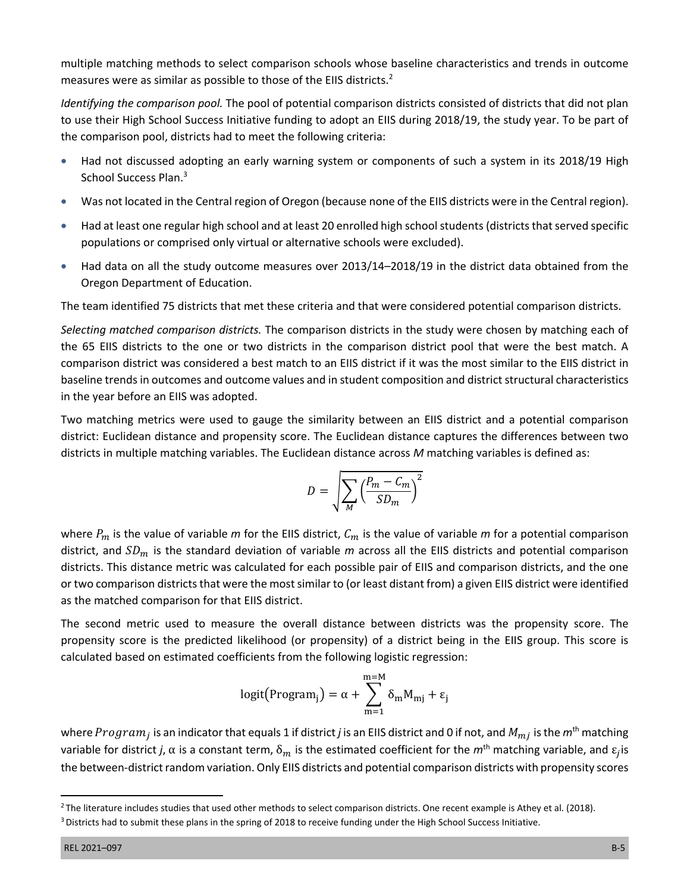multiple matching methods to select comparison schools whose baseline characteristics and trends in outcome measures were as similar as possible to those of the EIIS districts.<sup>2</sup>

*Identifying the comparison pool.* The pool of potential comparison districts consisted of districts that did not plan to use their High School Success Initiative funding to adopt an EIIS during 2018/19, the study year. To be part of the comparison pool, districts had to meet the following criteria:

- Had not discussed adopting an early warning system or components of such a system in its 2018/19 High School Success Plan.<sup>3</sup>
- Was not located in the Central region of Oregon (because none of the EIIS districts were in the Central region).
- Had at least one regular high school and at least 20 enrolled high school students (districts that served specific populations or comprised only virtual or alternative schools were excluded).
- Had data on all the study outcome measures over 2013/14–2018/19 in the district data obtained from the Oregon Department of Education.

The team identified 75 districts that met these criteria and that were considered potential comparison districts.

*Selecting matched comparison districts.* The comparison districts in the study were chosen by matching each of the 65 EIIS districts to the one or two districts in the comparison district pool that were the best match. A comparison district was considered a best match to an EIIS district if it was the most similar to the EIIS district in baseline trends in outcomes and outcome values and in student composition and district structural characteristics in the year before an EIIS was adopted.

Two matching metrics were used to gauge the similarity between an EIIS district and a potential comparison district: Euclidean distance and propensity score. The Euclidean distance captures the differences between two districts in multiple matching variables. The Euclidean distance across *M* matching variables is defined as:

$$
D = \sqrt{\sum_{M} \left(\frac{P_m - C_m}{SD_m}\right)^2}
$$

where  $P_m$  is the value of variable *m* for the EIIS district,  $C_m$  is the value of variable *m* for a potential comparison district, and  $SD_m$  is the standard deviation of variable  $m$  across all the EIIS districts and potential comparison districts. This distance metric was calculated for each possible pair of EIIS and comparison districts, and the one or two comparison districts that were the most similar to (or least distant from) a given EIIS district were identified as the matched comparison for that EIIS district.

The second metric used to measure the overall distance between districts was the propensity score. The propensity score is the predicted likelihood (or propensity) of a district being in the EIIS group. This score is calculated based on estimated coefficients from the following logistic regression:

$$
logit\big(\text{Program}_j\big) = \alpha + \sum_{m=1}^{m=M} \delta_m M_{mj} + \epsilon_j
$$

where  $Program_i$  is an indicator that equals 1 if district *j* is an EIIS district and 0 if not, and  $M_{mi}$  is the  $m<sup>th</sup>$  matching variable for district *j*,  $\alpha$  is a constant term,  $\delta_m$  is the estimated coefficient for the  $m^{th}$  matching variable, and  $\epsilon_i$  is the between-district random variation. Only EIIS districts and potential comparison districts with propensity scores

<sup>&</sup>lt;sup>2</sup> The literature includes studies that used other methods to select comparison districts. One recent example is Athey et al. (2018).

<sup>&</sup>lt;sup>3</sup> Districts had to submit these plans in the spring of 2018 to receive funding under the High School Success Initiative.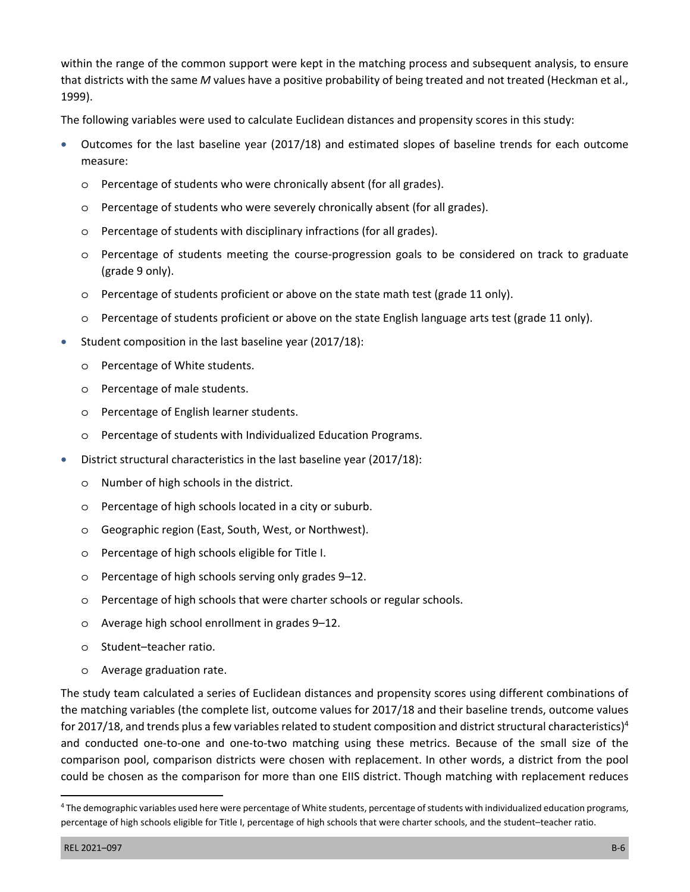within the range of the common support were kept in the matching process and subsequent analysis, to ensure that districts with the same *M* values have a positive probability of being treated and not treated (Heckman et al., 1999).

The following variables were used to calculate Euclidean distances and propensity scores in this study:

- Outcomes for the last baseline year (2017/18) and estimated slopes of baseline trends for each outcome measure:
	- o Percentage of students who were chronically absent (for all grades).
	- o Percentage of students who were severely chronically absent (for all grades).
	- o Percentage of students with disciplinary infractions (for all grades).
	- o Percentage of students meeting the course-progression goals to be considered on track to graduate (grade 9 only).
	- o Percentage of students proficient or above on the state math test (grade 11 only).
	- o Percentage of students proficient or above on the state English language arts test (grade 11 only).
- Student composition in the last baseline year (2017/18):
	- o Percentage of White students.
	- o Percentage of male students.
	- o Percentage of English learner students.
	- o Percentage of students with Individualized Education Programs.
- District structural characteristics in the last baseline year (2017/18):
	- o Number of high schools in the district.
	- o Percentage of high schools located in a city or suburb.
	- o Geographic region (East, South, West, or Northwest).
	- o Percentage of high schools eligible for Title I.
	- o Percentage of high schools serving only grades 9–12.
	- o Percentage of high schools that were charter schools or regular schools.
	- o Average high school enrollment in grades 9–12.
	- o Student–teacher ratio.
	- o Average graduation rate.

The study team calculated a series of Euclidean distances and propensity scores using different combinations of the matching variables (the complete list, outcome values for 2017/18 and their baseline trends, outcome values for 2017/18, and trends plus a few variables related to student composition and district structural characteristics)<sup>4</sup> and conducted one-to-one and one-to-two matching using these metrics. Because of the small size of the comparison pool, comparison districts were chosen with replacement. In other words, a district from the pool could be chosen as the comparison for more than one EIIS district. Though matching with replacement reduces

<sup>4</sup> The demographic variables used here were percentage of White students, percentage of students with individualized education programs, percentage of high schools eligible for Title I, percentage of high schools that were charter schools, and the student–teacher ratio.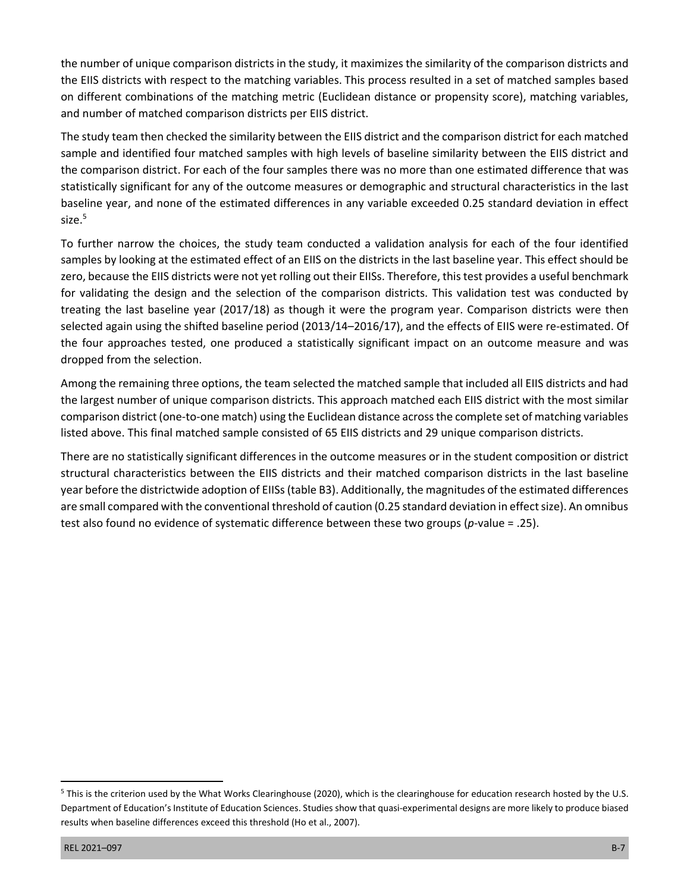the number of unique comparison districts in the study, it maximizes the similarity of the comparison districts and the EIIS districts with respect to the matching variables. This process resulted in a set of matched samples based on different combinations of the matching metric (Euclidean distance or propensity score), matching variables, and number of matched comparison districts per EIIS district.

The study team then checked the similarity between the EIIS district and the comparison district for each matched sample and identified four matched samples with high levels of baseline similarity between the EIIS district and the comparison district. For each of the four samples there was no more than one estimated difference that was statistically significant for any of the outcome measures or demographic and structural characteristics in the last baseline year, and none of the estimated differences in any variable exceeded 0.25 standard deviation in effect size.<sup>5</sup>

To further narrow the choices, the study team conducted a validation analysis for each of the four identified samples by looking at the estimated effect of an EIIS on the districts in the last baseline year. This effect should be zero, because the EIIS districts were not yet rolling out their EIISs. Therefore, this test provides a useful benchmark for validating the design and the selection of the comparison districts. This validation test was conducted by treating the last baseline year (2017/18) as though it were the program year. Comparison districts were then selected again using the shifted baseline period (2013/14–2016/17), and the effects of EIIS were re-estimated. Of the four approaches tested, one produced a statistically significant impact on an outcome measure and was dropped from the selection.

Among the remaining three options, the team selected the matched sample that included all EIIS districts and had the largest number of unique comparison districts. This approach matched each EIIS district with the most similar comparison district (one-to-one match) using the Euclidean distance across the complete set of matching variables listed above. This final matched sample consisted of 65 EIIS districts and 29 unique comparison districts.

There are no statistically significant differences in the outcome measures or in the student composition or district structural characteristics between the EIIS districts and their matched comparison districts in the last baseline year before the districtwide adoption of EIISs (table B3). Additionally, the magnitudes of the estimated differences are small compared with the conventional threshold of caution (0.25 standard deviation in effect size). An omnibus test also found no evidence of systematic difference between these two groups (*p*-value = .25).

<sup>&</sup>lt;sup>5</sup> This is the criterion used by the What Works Clearinghouse (2020), which is the clearinghouse for education research hosted by the U.S. Department of Education's Institute of Education Sciences. Studies show that quasi-experimental designs are more likely to produce biased results when baseline differences exceed this threshold (Ho et al., 2007).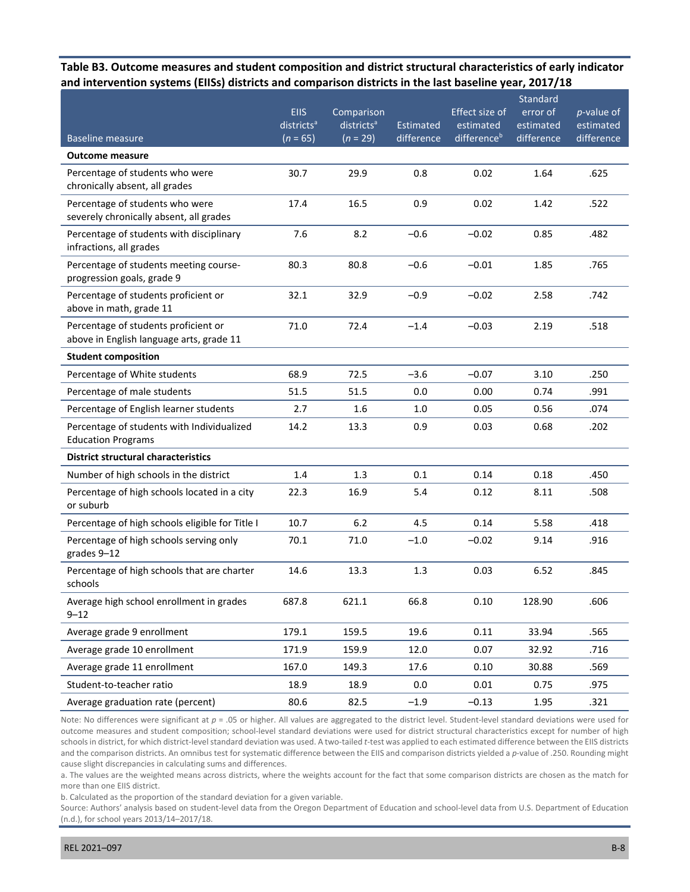#### **Table B3. Outcome measures and student composition and district structural characteristics of early indicator and intervention systems (EIISs) districts and comparison districts in the last baseline year, 2017/18**

|                                                                                  | <b>EIIS</b>                          | Comparison                           |                         | Effect size of                       | Standard<br>error of    | $p$ -value of           |
|----------------------------------------------------------------------------------|--------------------------------------|--------------------------------------|-------------------------|--------------------------------------|-------------------------|-------------------------|
| <b>Baseline measure</b>                                                          | districts <sup>a</sup><br>$(n = 65)$ | districts <sup>a</sup><br>$(n = 29)$ | Estimated<br>difference | estimated<br>difference <sup>b</sup> | estimated<br>difference | estimated<br>difference |
| <b>Outcome measure</b>                                                           |                                      |                                      |                         |                                      |                         |                         |
| Percentage of students who were                                                  | 30.7                                 | 29.9                                 | 0.8                     | 0.02                                 | 1.64                    | .625                    |
| chronically absent, all grades                                                   |                                      |                                      |                         |                                      |                         |                         |
| Percentage of students who were<br>severely chronically absent, all grades       | 17.4                                 | 16.5                                 | 0.9                     | 0.02                                 | 1.42                    | .522                    |
| Percentage of students with disciplinary<br>infractions, all grades              | 7.6                                  | 8.2                                  | $-0.6$                  | $-0.02$                              | 0.85                    | .482                    |
| Percentage of students meeting course-<br>progression goals, grade 9             | 80.3                                 | 80.8                                 | $-0.6$                  | $-0.01$                              | 1.85                    | .765                    |
| Percentage of students proficient or<br>above in math, grade 11                  | 32.1                                 | 32.9                                 | $-0.9$                  | $-0.02$                              | 2.58                    | .742                    |
| Percentage of students proficient or<br>above in English language arts, grade 11 | 71.0                                 | 72.4                                 | $-1.4$                  | $-0.03$                              | 2.19                    | .518                    |
| <b>Student composition</b>                                                       |                                      |                                      |                         |                                      |                         |                         |
| Percentage of White students                                                     | 68.9                                 | 72.5                                 | $-3.6$                  | $-0.07$                              | 3.10                    | .250                    |
| Percentage of male students                                                      | 51.5                                 | 51.5                                 | 0.0                     | 0.00                                 | 0.74                    | .991                    |
| Percentage of English learner students                                           | 2.7                                  | 1.6                                  | 1.0                     | 0.05                                 | 0.56                    | .074                    |
| Percentage of students with Individualized<br><b>Education Programs</b>          | 14.2                                 | 13.3                                 | 0.9                     | 0.03                                 | 0.68                    | .202                    |
| <b>District structural characteristics</b>                                       |                                      |                                      |                         |                                      |                         |                         |
| Number of high schools in the district                                           | 1.4                                  | 1.3                                  | 0.1                     | 0.14                                 | 0.18                    | .450                    |
| Percentage of high schools located in a city<br>or suburb                        | 22.3                                 | 16.9                                 | 5.4                     | 0.12                                 | 8.11                    | .508                    |
| Percentage of high schools eligible for Title I                                  | 10.7                                 | 6.2                                  | 4.5                     | 0.14                                 | 5.58                    | .418                    |
| Percentage of high schools serving only<br>grades 9-12                           | 70.1                                 | 71.0                                 | $-1.0$                  | $-0.02$                              | 9.14                    | .916                    |
| Percentage of high schools that are charter<br>schools                           | 14.6                                 | 13.3                                 | 1.3                     | 0.03                                 | 6.52                    | .845                    |
| Average high school enrollment in grades<br>$9 - 12$                             | 687.8                                | 621.1                                | 66.8                    | 0.10                                 | 128.90                  | .606                    |
| Average grade 9 enrollment                                                       | 179.1                                | 159.5                                | 19.6                    | 0.11                                 | 33.94                   | .565                    |
| Average grade 10 enrollment                                                      | 171.9                                | 159.9                                | 12.0                    | 0.07                                 | 32.92                   | .716                    |
| Average grade 11 enrollment                                                      | 167.0                                | 149.3                                | 17.6                    | 0.10                                 | 30.88                   | .569                    |
| Student-to-teacher ratio                                                         | 18.9                                 | 18.9                                 | 0.0                     | 0.01                                 | 0.75                    | .975                    |
| Average graduation rate (percent)                                                | 80.6                                 | 82.5                                 | $-1.9$                  | $-0.13$                              | 1.95                    | .321                    |

Note: No differences were significant at  $p = .05$  or higher. All values are aggregated to the district level. Student-level standard deviations were used for outcome measures and student composition; school-level standard deviations were used for district structural characteristics except for number of high schools in district, for which district-level standard deviation was used. A two-tailed *t*-test was applied to each estimated difference between the EIIS districts and the comparison districts. An omnibus test for systematic difference between the EIIS and comparison districts yielded a *p*-value of .250. Rounding might cause slight discrepancies in calculating sums and differences.

a. The values are the weighted means across districts, where the weights account for the fact that some comparison districts are chosen as the match for more than one EIIS district.

b. Calculated as the proportion of the standard deviation for a given variable.

Source: Authors' analysis based on student-level data from the Oregon Department of Education and school-level data from U.S. Department of Education (n.d.), for school years 2013/14–2017/18.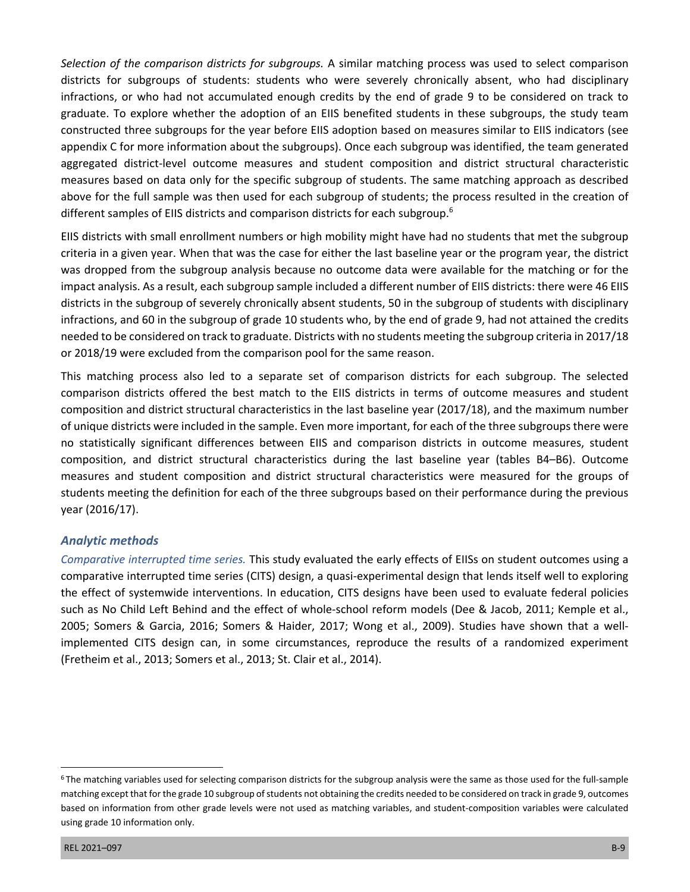*Selection of the comparison districts for subgroups.* A similar matching process was used to select comparison districts for subgroups of students: students who were severely chronically absent, who had disciplinary infractions, or who had not accumulated enough credits by the end of grade 9 to be considered on track to graduate. To explore whether the adoption of an EIIS benefited students in these subgroups, the study team constructed three subgroups for the year before EIIS adoption based on measures similar to EIIS indicators (see appendix C for more information about the subgroups). Once each subgroup was identified, the team generated aggregated district-level outcome measures and student composition and district structural characteristic measures based on data only for the specific subgroup of students. The same matching approach as described above for the full sample was then used for each subgroup of students; the process resulted in the creation of different samples of EIIS districts and comparison districts for each subgroup.<sup>6</sup>

EIIS districts with small enrollment numbers or high mobility might have had no students that met the subgroup criteria in a given year. When that was the case for either the last baseline year or the program year, the district was dropped from the subgroup analysis because no outcome data were available for the matching or for the impact analysis. As a result, each subgroup sample included a different number of EIIS districts: there were 46 EIIS districts in the subgroup of severely chronically absent students, 50 in the subgroup of students with disciplinary infractions, and 60 in the subgroup of grade 10 students who, by the end of grade 9, had not attained the credits needed to be considered on track to graduate. Districts with no students meeting the subgroup criteria in 2017/18 or 2018/19 were excluded from the comparison pool for the same reason.

This matching process also led to a separate set of comparison districts for each subgroup. The selected comparison districts offered the best match to the EIIS districts in terms of outcome measures and student composition and district structural characteristics in the last baseline year (2017/18), and the maximum number of unique districts were included in the sample. Even more important, for each of the three subgroups there were no statistically significant differences between EIIS and comparison districts in outcome measures, student composition, and district structural characteristics during the last baseline year (tables B4–B6). Outcome measures and student composition and district structural characteristics were measured for the groups of students meeting the definition for each of the three subgroups based on their performance during the previous year (2016/17).

#### *Analytic methods*

*Comparative interrupted time series.* This study evaluated the early effects of EIISs on student outcomes using a comparative interrupted time series (CITS) design, a quasi-experimental design that lends itself well to exploring the effect of systemwide interventions. In education, CITS designs have been used to evaluate federal policies such as No Child Left Behind and the effect of whole-school reform models (Dee & Jacob, 2011; Kemple et al., 2005; Somers & Garcia, 2016; Somers & Haider, 2017; Wong et al., 2009). Studies have shown that a wellimplemented CITS design can, in some circumstances, reproduce the results of a randomized experiment (Fretheim et al., 2013; Somers et al., 2013; St. Clair et al., 2014).

 $6$ The matching variables used for selecting comparison districts for the subgroup analysis were the same as those used for the full-sample matching except that for the grade 10 subgroup of students not obtaining the credits needed to be considered on track in grade 9, outcomes based on information from other grade levels were not used as matching variables, and student-composition variables were calculated using grade 10 information only.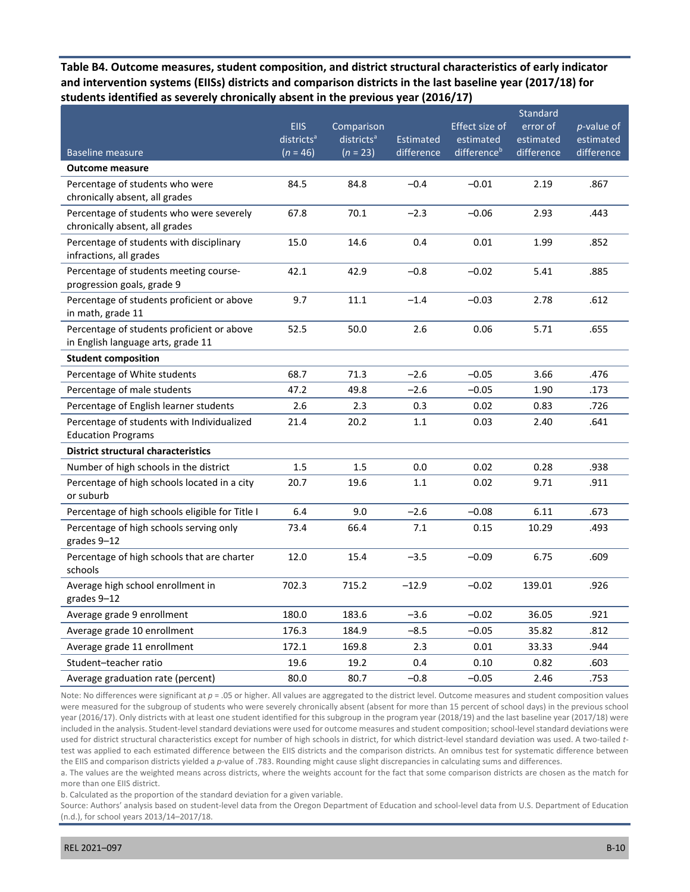**Table B4. Outcome measures, student composition, and district structural characteristics of early indicator and intervention systems (EIISs) districts and comparison districts in the last baseline year (2017/18) for students identified as severely chronically absent in the previous year (2016/17)** 

|                                                                                  | <b>EIIS</b><br>districts <sup>a</sup> | Comparison<br>districts <sup>a</sup> | <b>Estimated</b> | Effect size of<br>estimated | Standard<br>error of<br>estimated | $p$ -value of<br>estimated |
|----------------------------------------------------------------------------------|---------------------------------------|--------------------------------------|------------------|-----------------------------|-----------------------------------|----------------------------|
| <b>Baseline measure</b>                                                          | $(n = 46)$                            | $(n = 23)$                           | difference       | differenceb                 | difference                        | difference                 |
| <b>Outcome measure</b>                                                           |                                       |                                      |                  |                             |                                   |                            |
| Percentage of students who were<br>chronically absent, all grades                | 84.5                                  | 84.8                                 | $-0.4$           | $-0.01$                     | 2.19                              | .867                       |
| Percentage of students who were severely<br>chronically absent, all grades       | 67.8                                  | 70.1                                 | $-2.3$           | $-0.06$                     | 2.93                              | .443                       |
| Percentage of students with disciplinary<br>infractions, all grades              | 15.0                                  | 14.6                                 | 0.4              | 0.01                        | 1.99                              | .852                       |
| Percentage of students meeting course-<br>progression goals, grade 9             | 42.1                                  | 42.9                                 | $-0.8$           | $-0.02$                     | 5.41                              | .885                       |
| Percentage of students proficient or above<br>in math, grade 11                  | 9.7                                   | 11.1                                 | $-1.4$           | $-0.03$                     | 2.78                              | .612                       |
| Percentage of students proficient or above<br>in English language arts, grade 11 | 52.5                                  | 50.0                                 | 2.6              | 0.06                        | 5.71                              | .655                       |
| <b>Student composition</b>                                                       |                                       |                                      |                  |                             |                                   |                            |
| Percentage of White students                                                     | 68.7                                  | 71.3                                 | $-2.6$           | $-0.05$                     | 3.66                              | .476                       |
| Percentage of male students                                                      | 47.2                                  | 49.8                                 | $-2.6$           | $-0.05$                     | 1.90                              | .173                       |
| Percentage of English learner students                                           | 2.6                                   | 2.3                                  | 0.3              | 0.02                        | 0.83                              | .726                       |
| Percentage of students with Individualized<br><b>Education Programs</b>          | 21.4                                  | 20.2                                 | 1.1              | 0.03                        | 2.40                              | .641                       |
| <b>District structural characteristics</b>                                       |                                       |                                      |                  |                             |                                   |                            |
| Number of high schools in the district                                           | 1.5                                   | 1.5                                  | 0.0              | 0.02                        | 0.28                              | .938                       |
| Percentage of high schools located in a city<br>or suburb                        | 20.7                                  | 19.6                                 | 1.1              | 0.02                        | 9.71                              | .911                       |
| Percentage of high schools eligible for Title I                                  | 6.4                                   | 9.0                                  | $-2.6$           | $-0.08$                     | 6.11                              | .673                       |
| Percentage of high schools serving only<br>grades 9-12                           | 73.4                                  | 66.4                                 | 7.1              | 0.15                        | 10.29                             | .493                       |
| Percentage of high schools that are charter<br>schools                           | 12.0                                  | 15.4                                 | $-3.5$           | $-0.09$                     | 6.75                              | .609                       |
| Average high school enrollment in<br>grades 9-12                                 | 702.3                                 | 715.2                                | $-12.9$          | $-0.02$                     | 139.01                            | .926                       |
| Average grade 9 enrollment                                                       | 180.0                                 | 183.6                                | $-3.6$           | $-0.02$                     | 36.05                             | .921                       |
| Average grade 10 enrollment                                                      | 176.3                                 | 184.9                                | $-8.5$           | $-0.05$                     | 35.82                             | .812                       |
| Average grade 11 enrollment                                                      | 172.1                                 | 169.8                                | 2.3              | 0.01                        | 33.33                             | .944                       |
| Student-teacher ratio                                                            | 19.6                                  | 19.2                                 | 0.4              | 0.10                        | 0.82                              | .603                       |
| Average graduation rate (percent)                                                | 80.0                                  | 80.7                                 | $-0.8$           | $-0.05$                     | 2.46                              | .753                       |

Note: No differences were significant at  $p = 0.05$  or higher. All values are aggregated to the district level. Outcome measures and student composition values were measured for the subgroup of students who were severely chronically absent (absent for more than 15 percent of school days) in the previous school year (2016/17). Only districts with at least one student identified for this subgroup in the program year (2018/19) and the last baseline year (2017/18) were included in the analysis. Student-level standard deviations were used for outcome measures and student composition; school-level standard deviations were used for district structural characteristics except for number of high schools in district, for which district-level standard deviation was used. A two-tailed *t*test was applied to each estimated difference between the EIIS districts and the comparison districts. An omnibus test for systematic difference between the EIIS and comparison districts yielded a *p*-value of .783. Rounding might cause slight discrepancies in calculating sums and differences.

a. The values are the weighted means across districts, where the weights account for the fact that some comparison districts are chosen as the match for more than one EIIS district.

b. Calculated as the proportion of the standard deviation for a given variable.

Source: Authors' analysis based on student-level data from the Oregon Department of Education and school-level data from U.S. Department of Education (n.d.), for school years 2013/14–2017/18.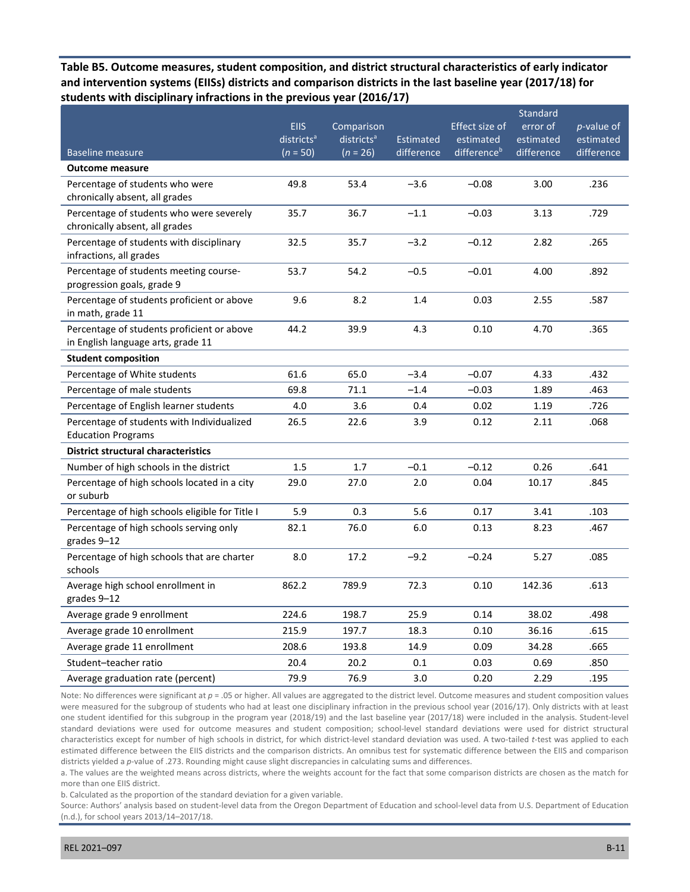**Table B5. Outcome measures, student composition, and district structural characteristics of early indicator and intervention systems (EIISs) districts and comparison districts in the last baseline year (2017/18) for students with disciplinary infractions in the previous year (2016/17)** 

| <b>Baseline measure</b>                                                          | <b>EIIS</b><br>districts <sup>a</sup><br>$(n = 50)$ | Comparison<br>districts <sup>a</sup><br>$(n = 26)$ | <b>Estimated</b><br>difference | Effect size of<br>estimated<br>differenceb | Standard<br>error of<br>estimated<br>difference | <i>p</i> -value of<br>estimated<br>difference |
|----------------------------------------------------------------------------------|-----------------------------------------------------|----------------------------------------------------|--------------------------------|--------------------------------------------|-------------------------------------------------|-----------------------------------------------|
| <b>Outcome measure</b>                                                           |                                                     |                                                    |                                |                                            |                                                 |                                               |
| Percentage of students who were<br>chronically absent, all grades                | 49.8                                                | 53.4                                               | $-3.6$                         | $-0.08$                                    | 3.00                                            | .236                                          |
| Percentage of students who were severely<br>chronically absent, all grades       | 35.7                                                | 36.7                                               | $-1.1$                         | $-0.03$                                    | 3.13                                            | .729                                          |
| Percentage of students with disciplinary<br>infractions, all grades              | 32.5                                                | 35.7                                               | $-3.2$                         | $-0.12$                                    | 2.82                                            | .265                                          |
| Percentage of students meeting course-<br>progression goals, grade 9             | 53.7                                                | 54.2                                               | $-0.5$                         | $-0.01$                                    | 4.00                                            | .892                                          |
| Percentage of students proficient or above<br>in math, grade 11                  | 9.6                                                 | 8.2                                                | 1.4                            | 0.03                                       | 2.55                                            | .587                                          |
| Percentage of students proficient or above<br>in English language arts, grade 11 | 44.2                                                | 39.9                                               | 4.3                            | 0.10                                       | 4.70                                            | .365                                          |
| <b>Student composition</b>                                                       |                                                     |                                                    |                                |                                            |                                                 |                                               |
| Percentage of White students                                                     | 61.6                                                | 65.0                                               | $-3.4$                         | $-0.07$                                    | 4.33                                            | .432                                          |
| Percentage of male students                                                      | 69.8                                                | 71.1                                               | $-1.4$                         | $-0.03$                                    | 1.89                                            | .463                                          |
| Percentage of English learner students                                           | 4.0                                                 | 3.6                                                | 0.4                            | 0.02                                       | 1.19                                            | .726                                          |
| Percentage of students with Individualized<br><b>Education Programs</b>          | 26.5                                                | 22.6                                               | 3.9                            | 0.12                                       | 2.11                                            | .068                                          |
| <b>District structural characteristics</b>                                       |                                                     |                                                    |                                |                                            |                                                 |                                               |
| Number of high schools in the district                                           | 1.5                                                 | 1.7                                                | $-0.1$                         | $-0.12$                                    | 0.26                                            | .641                                          |
| Percentage of high schools located in a city<br>or suburb                        | 29.0                                                | 27.0                                               | 2.0                            | 0.04                                       | 10.17                                           | .845                                          |
| Percentage of high schools eligible for Title I                                  | 5.9                                                 | 0.3                                                | 5.6                            | 0.17                                       | 3.41                                            | .103                                          |
| Percentage of high schools serving only<br>grades 9-12                           | 82.1                                                | 76.0                                               | 6.0                            | 0.13                                       | 8.23                                            | .467                                          |
| Percentage of high schools that are charter<br>schools                           | 8.0                                                 | 17.2                                               | $-9.2$                         | $-0.24$                                    | 5.27                                            | .085                                          |
| Average high school enrollment in<br>grades $9-12$                               | 862.2                                               | 789.9                                              | 72.3                           | 0.10                                       | 142.36                                          | .613                                          |
| Average grade 9 enrollment                                                       | 224.6                                               | 198.7                                              | 25.9                           | 0.14                                       | 38.02                                           | .498                                          |
| Average grade 10 enrollment                                                      | 215.9                                               | 197.7                                              | 18.3                           | 0.10                                       | 36.16                                           | .615                                          |
| Average grade 11 enrollment                                                      | 208.6                                               | 193.8                                              | 14.9                           | 0.09                                       | 34.28                                           | .665                                          |
| Student-teacher ratio                                                            | 20.4                                                | 20.2                                               | 0.1                            | 0.03                                       | 0.69                                            | .850                                          |
| Average graduation rate (percent)                                                | 79.9                                                | 76.9                                               | 3.0                            | 0.20                                       | 2.29                                            | .195                                          |

Note: No differences were significant at  $p = 0.05$  or higher. All values are aggregated to the district level. Outcome measures and student composition values were measured for the subgroup of students who had at least one disciplinary infraction in the previous school year (2016/17). Only districts with at least one student identified for this subgroup in the program year (2018/19) and the last baseline year (2017/18) were included in the analysis. Student-level standard deviations were used for outcome measures and student composition; school-level standard deviations were used for district structural characteristics except for number of high schools in district, for which district-level standard deviation was used. A two-tailed *t*-test was applied to each estimated difference between the EIIS districts and the comparison districts. An omnibus test for systematic difference between the EIIS and comparison districts yielded a *p*-value of .273. Rounding might cause slight discrepancies in calculating sums and differences.

a. The values are the weighted means across districts, where the weights account for the fact that some comparison districts are chosen as the match for more than one EIIS district.

b. Calculated as the proportion of the standard deviation for a given variable.

Source: Authors' analysis based on student-level data from the Oregon Department of Education and school-level data from U.S. Department of Education (n.d.), for school years 2013/14–2017/18.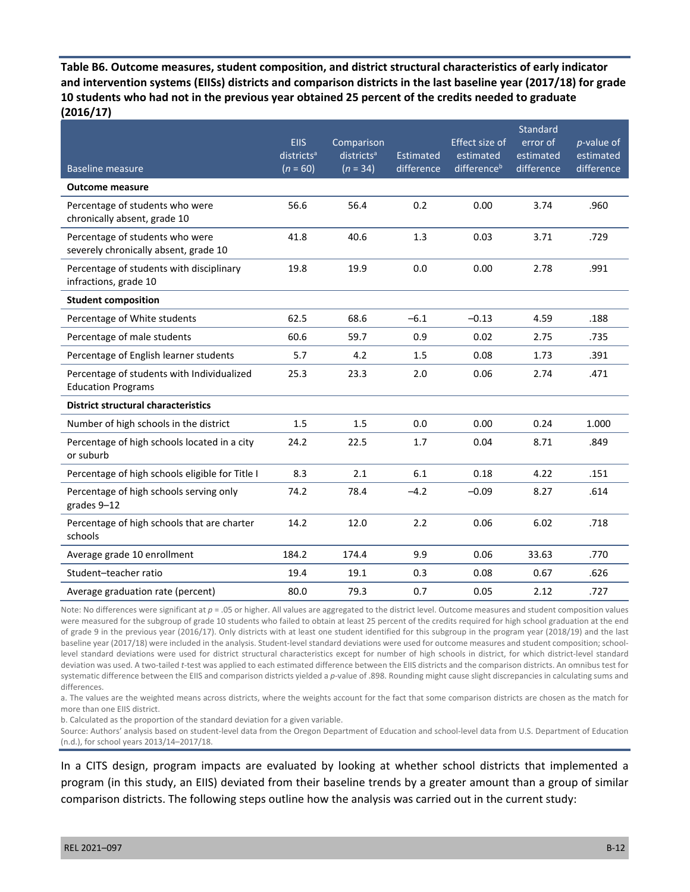**Table B6. Outcome measures, student composition, and district structural characteristics of early indicator and intervention systems (EIISs) districts and comparison districts in the last baseline year (2017/18) for grade 10 students who had not in the previous year obtained 25 percent of the credits needed to graduate (2016/17)** 

|                                                                          | <b>EIIS</b><br>districts <sup>a</sup> | Comparison<br>districts <sup>a</sup> | Estimated  | Effect size of<br>estimated | Standard<br>error of<br>estimated | $p$ -value of<br>estimated |
|--------------------------------------------------------------------------|---------------------------------------|--------------------------------------|------------|-----------------------------|-----------------------------------|----------------------------|
| <b>Baseline measure</b>                                                  | $(n = 60)$                            | $(n = 34)$                           | difference | difference <sup>b</sup>     | difference                        | difference                 |
| <b>Outcome measure</b>                                                   |                                       |                                      |            |                             |                                   |                            |
| Percentage of students who were<br>chronically absent, grade 10          | 56.6                                  | 56.4                                 | 0.2        | 0.00                        | 3.74                              | .960                       |
| Percentage of students who were<br>severely chronically absent, grade 10 | 41.8                                  | 40.6                                 | 1.3        | 0.03                        | 3.71                              | .729                       |
| Percentage of students with disciplinary<br>infractions, grade 10        | 19.8                                  | 19.9                                 | 0.0        | 0.00                        | 2.78                              | .991                       |
| <b>Student composition</b>                                               |                                       |                                      |            |                             |                                   |                            |
| Percentage of White students                                             | 62.5                                  | 68.6                                 | $-6.1$     | $-0.13$                     | 4.59                              | .188                       |
| Percentage of male students                                              | 60.6                                  | 59.7                                 | 0.9        | 0.02                        | 2.75                              | .735                       |
| Percentage of English learner students                                   | 5.7                                   | 4.2                                  | 1.5        | 0.08                        | 1.73                              | .391                       |
| Percentage of students with Individualized<br><b>Education Programs</b>  | 25.3                                  | 23.3                                 | 2.0        | 0.06                        | 2.74                              | .471                       |
| <b>District structural characteristics</b>                               |                                       |                                      |            |                             |                                   |                            |
| Number of high schools in the district                                   | 1.5                                   | 1.5                                  | 0.0        | 0.00                        | 0.24                              | 1.000                      |
| Percentage of high schools located in a city<br>or suburb                | 24.2                                  | 22.5                                 | 1.7        | 0.04                        | 8.71                              | .849                       |
| Percentage of high schools eligible for Title I                          | 8.3                                   | 2.1                                  | 6.1        | 0.18                        | 4.22                              | .151                       |
| Percentage of high schools serving only<br>grades 9-12                   | 74.2                                  | 78.4                                 | $-4.2$     | $-0.09$                     | 8.27                              | .614                       |
| Percentage of high schools that are charter<br>schools                   | 14.2                                  | 12.0                                 | 2.2        | 0.06                        | 6.02                              | .718                       |
| Average grade 10 enrollment                                              | 184.2                                 | 174.4                                | 9.9        | 0.06                        | 33.63                             | .770                       |
| Student-teacher ratio                                                    | 19.4                                  | 19.1                                 | 0.3        | 0.08                        | 0.67                              | .626                       |
| Average graduation rate (percent)                                        | 80.0                                  | 79.3                                 | 0.7        | 0.05                        | 2.12                              | .727                       |

Note: No differences were significant at *p* = .05 or higher. All values are aggregated to the district level. Outcome measures and student composition values were measured for the subgroup of grade 10 students who failed to obtain at least 25 percent of the credits required for high school graduation at the end of grade 9 in the previous year (2016/17). Only districts with at least one student identified for this subgroup in the program year (2018/19) and the last baseline year (2017/18) were included in the analysis. Student-level standard deviations were used for outcome measures and student composition; schoollevel standard deviations were used for district structural characteristics except for number of high schools in district, for which district-level standard deviation was used. A two-tailed *t*-test was applied to each estimated difference between the EIIS districts and the comparison districts. An omnibus test for systematic difference between the EIIS and comparison districts yielded a *p*-value of .898. Rounding might cause slight discrepancies in calculating sums and differences.

a. The values are the weighted means across districts, where the weights account for the fact that some comparison districts are chosen as the match for more than one EIIS district.

b. Calculated as the proportion of the standard deviation for a given variable.

Source: Authors' analysis based on student-level data from the Oregon Department of Education and school-level data from U.S. Department of Education (n.d.), for school years 2013/14–2017/18.

In a CITS design, program impacts are evaluated by looking at whether school districts that implemented a program (in this study, an EIIS) deviated from their baseline trends by a greater amount than a group of similar comparison districts. The following steps outline how the analysis was carried out in the current study: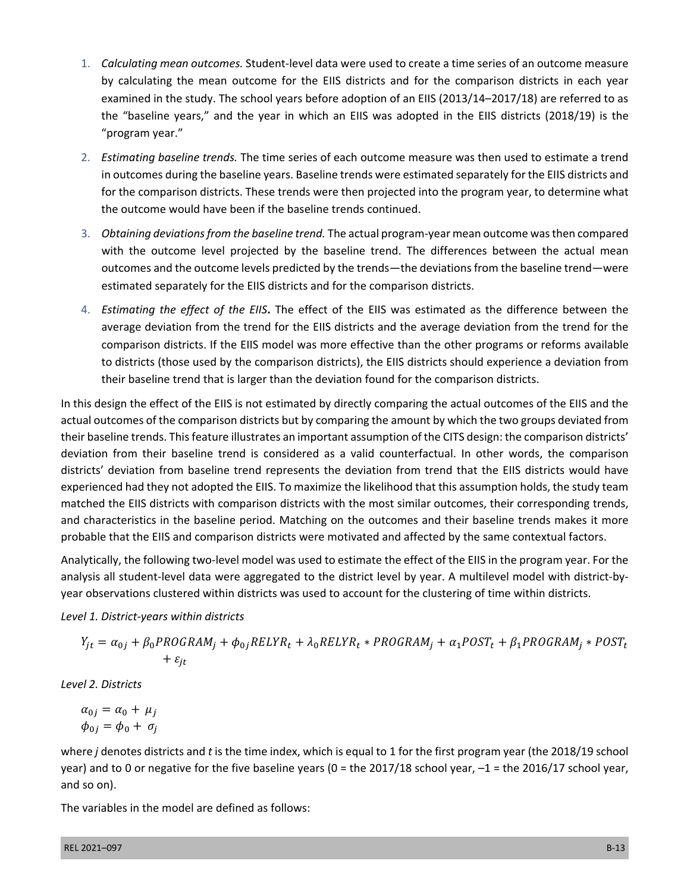- 1. *Calculating mean outcomes.* Student-level data were used to create a time series of an outcome measure by calculating the mean outcome for the EIIS districts and for the comparison districts in each year examined in the study. The school years before adoption of an EIIS (2013/14–2017/18) are referred to as the "baseline years," and the year in which an EIIS was adopted in the EIIS districts (2018/19) is the "program year."
- 2. *Estimating baseline trends.* The time series of each outcome measure was then used to estimate a trend in outcomes during the baseline years. Baseline trends were estimated separately for the EIIS districts and for the comparison districts. These trends were then projected into the program year, to determine what the outcome would have been if the baseline trends continued.
- 3. *Obtaining deviations from the baseline trend.* The actual program-year mean outcome was then compared with the outcome level projected by the baseline trend. The differences between the actual mean outcomes and the outcome levels predicted by the trends—the deviations from the baseline trend—were estimated separately for the EIIS districts and for the comparison districts.
- 4. *Estimating the effect of the EIIS***.** The effect of the EIIS was estimated as the difference between the average deviation from the trend for the EIIS districts and the average deviation from the trend for the comparison districts. If the EIIS model was more effective than the other programs or reforms available to districts (those used by the comparison districts), the EIIS districts should experience a deviation from their baseline trend that is larger than the deviation found for the comparison districts.

In this design the effect of the EIIS is not estimated by directly comparing the actual outcomes of the EIIS and the actual outcomes of the comparison districts but by comparing the amount by which the two groups deviated from their baseline trends. This feature illustrates an important assumption of the CITS design: the comparison districts' deviation from their baseline trend is considered as a valid counterfactual. In other words, the comparison districts' deviation from baseline trend represents the deviation from trend that the EIIS districts would have experienced had they not adopted the EIIS. To maximize the likelihood that this assumption holds, the study team matched the EIIS districts with comparison districts with the most similar outcomes, their corresponding trends, and characteristics in the baseline period. Matching on the outcomes and their baseline trends makes it more probable that the EIIS and comparison districts were motivated and affected by the same contextual factors.

Analytically, the following two-level model was used to estimate the effect of the EIIS in the program year. For the analysis all student-level data were aggregated to the district level by year. A multilevel model with district-byyear observations clustered within districts was used to account for the clustering of time within districts.

*Level 1. District-years within districts* 

$$
Y_{jt} = \alpha_{0j} + \beta_0 PROGRAM_j + \phi_{0j} RELYR_t + \lambda_0 RELYR_t * PROGRAM_j + \alpha_1 POST_t + \beta_1 PROGRAM_j * POST_t + \varepsilon_{jt}
$$

*Level 2. Districts* 

 $\alpha_{0i} = \alpha_0 + \mu_i$  $\phi_{0i} = \phi_0 + \sigma_i$ 

where *j* denotes districts and *t* is the time index, which is equal to 1 for the first program year (the 2018/19 school year) and to 0 or negative for the five baseline years (0 = the 2017/18 school year, –1 = the 2016/17 school year, and so on).

The variables in the model are defined as follows: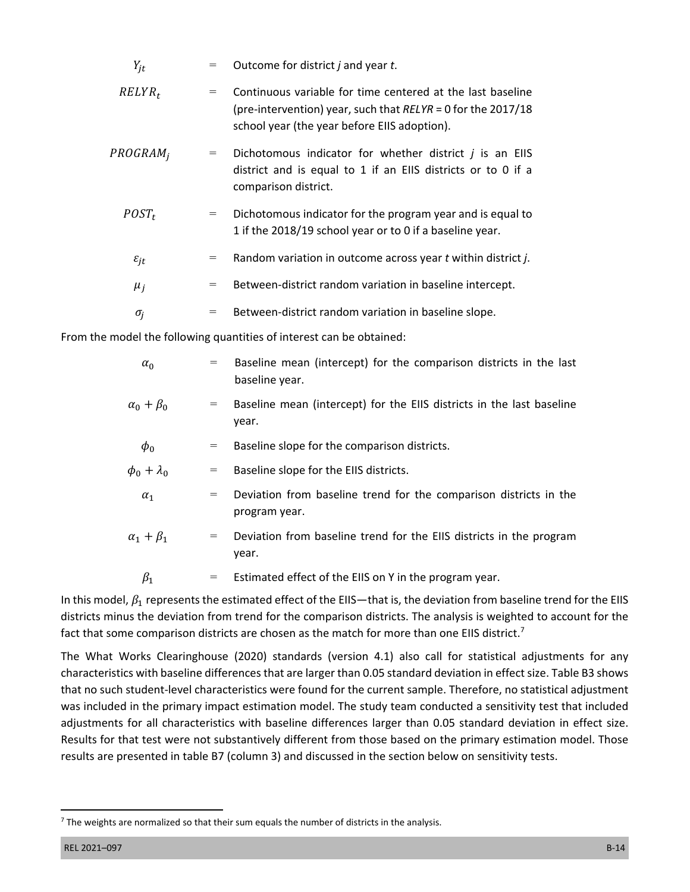| $Y_{it}$             | $=$ | Outcome for district <i>j</i> and year <i>t</i> .                                                                                                                            |
|----------------------|-----|------------------------------------------------------------------------------------------------------------------------------------------------------------------------------|
| $RELYR_t$            | $=$ | Continuous variable for time centered at the last baseline<br>(pre-intervention) year, such that $RELYR = 0$ for the 2017/18<br>school year (the year before EIIS adoption). |
| PROGRAM <sub>i</sub> | $=$ | Dichotomous indicator for whether district $j$ is an EIIS<br>district and is equal to 1 if an EIIS districts or to 0 if a<br>comparison district.                            |
| $POST_t$             | $=$ | Dichotomous indicator for the program year and is equal to<br>1 if the 2018/19 school year or to 0 if a baseline year.                                                       |
| $\varepsilon_{jt}$   | $=$ | Random variation in outcome across year t within district j.                                                                                                                 |
| $\mu_i$              | $=$ | Between-district random variation in baseline intercept.                                                                                                                     |
| $\sigma_i$           | $=$ | Between-district random variation in baseline slope.                                                                                                                         |

From the model the following quantities of interest can be obtained:

| $\alpha_0$           | Baseline mean (intercept) for the comparison districts in the last<br>$=$<br>baseline year. |
|----------------------|---------------------------------------------------------------------------------------------|
| $\alpha_0 + \beta_0$ | Baseline mean (intercept) for the EIIS districts in the last baseline<br>$=$<br>year.       |
| $\phi_0$             | Baseline slope for the comparison districts.<br>$=$                                         |
| $\phi_0 + \lambda_0$ | Baseline slope for the EIIS districts.<br>$=$                                               |
| $\alpha_1$           | Deviation from baseline trend for the comparison districts in the<br>$=$<br>program year.   |
| $\alpha_1 + \beta_1$ | Deviation from baseline trend for the EIIS districts in the program<br>$=$<br>year.         |
| $\beta_1$            | Estimated effect of the EIIS on Y in the program year.<br>$=$                               |

In this model,  $\beta_1$  represents the estimated effect of the EIIS—that is, the deviation from baseline trend for the EIIS districts minus the deviation from trend for the comparison districts. The analysis is weighted to account for the fact that some comparison districts are chosen as the match for more than one EIIS district.<sup>7</sup>

The What Works Clearinghouse (2020) standards (version 4.1) also call for statistical adjustments for any characteristics with baseline differences that are larger than 0.05 standard deviation in effect size. Table B3 shows that no such student-level characteristics were found for the current sample. Therefore, no statistical adjustment was included in the primary impact estimation model. The study team conducted a sensitivity test that included adjustments for all characteristics with baseline differences larger than 0.05 standard deviation in effect size. Results for that test were not substantively different from those based on the primary estimation model. Those results are presented in table B7 (column 3) and discussed in the section below on sensitivity tests.

 $<sup>7</sup>$  The weights are normalized so that their sum equals the number of districts in the analysis.</sup>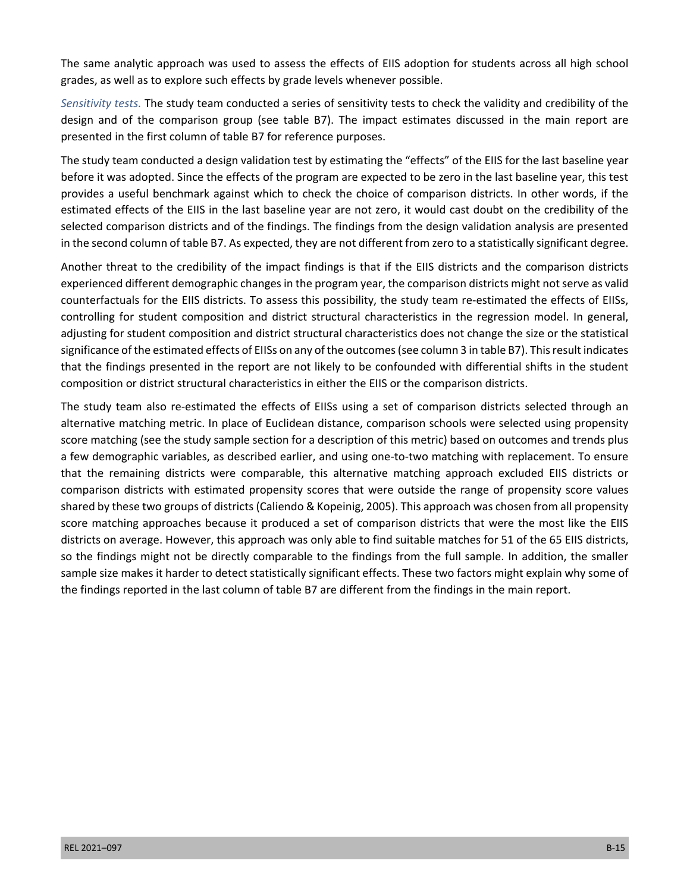The same analytic approach was used to assess the effects of EIIS adoption for students across all high school grades, as well as to explore such effects by grade levels whenever possible.

*Sensitivity tests.* The study team conducted a series of sensitivity tests to check the validity and credibility of the design and of the comparison group (see table B7). The impact estimates discussed in the main report are presented in the first column of table B7 for reference purposes.

The study team conducted a design validation test by estimating the "effects" of the EIIS for the last baseline year before it was adopted. Since the effects of the program are expected to be zero in the last baseline year, this test provides a useful benchmark against which to check the choice of comparison districts. In other words, if the estimated effects of the EIIS in the last baseline year are not zero, it would cast doubt on the credibility of the selected comparison districts and of the findings. The findings from the design validation analysis are presented in the second column of table B7. As expected, they are not different from zero to a statistically significant degree.

Another threat to the credibility of the impact findings is that if the EIIS districts and the comparison districts experienced different demographic changes in the program year, the comparison districts might not serve as valid counterfactuals for the EIIS districts. To assess this possibility, the study team re-estimated the effects of EIISs, controlling for student composition and district structural characteristics in the regression model. In general, adjusting for student composition and district structural characteristics does not change the size or the statistical significance of the estimated effects of EIISs on any of the outcomes (see column 3 in table B7). This result indicates that the findings presented in the report are not likely to be confounded with differential shifts in the student composition or district structural characteristics in either the EIIS or the comparison districts.

The study team also re-estimated the effects of EIISs using a set of comparison districts selected through an alternative matching metric. In place of Euclidean distance, comparison schools were selected using propensity score matching (see the study sample section for a description of this metric) based on outcomes and trends plus a few demographic variables, as described earlier, and using one-to-two matching with replacement. To ensure that the remaining districts were comparable, this alternative matching approach excluded EIIS districts or comparison districts with estimated propensity scores that were outside the range of propensity score values shared by these two groups of districts (Caliendo & Kopeinig, 2005). This approach was chosen from all propensity score matching approaches because it produced a set of comparison districts that were the most like the EIIS districts on average. However, this approach was only able to find suitable matches for 51 of the 65 EIIS districts, so the findings might not be directly comparable to the findings from the full sample. In addition, the smaller sample size makes it harder to detect statistically significant effects. These two factors might explain why some of the findings reported in the last column of table B7 are different from the findings in the main report.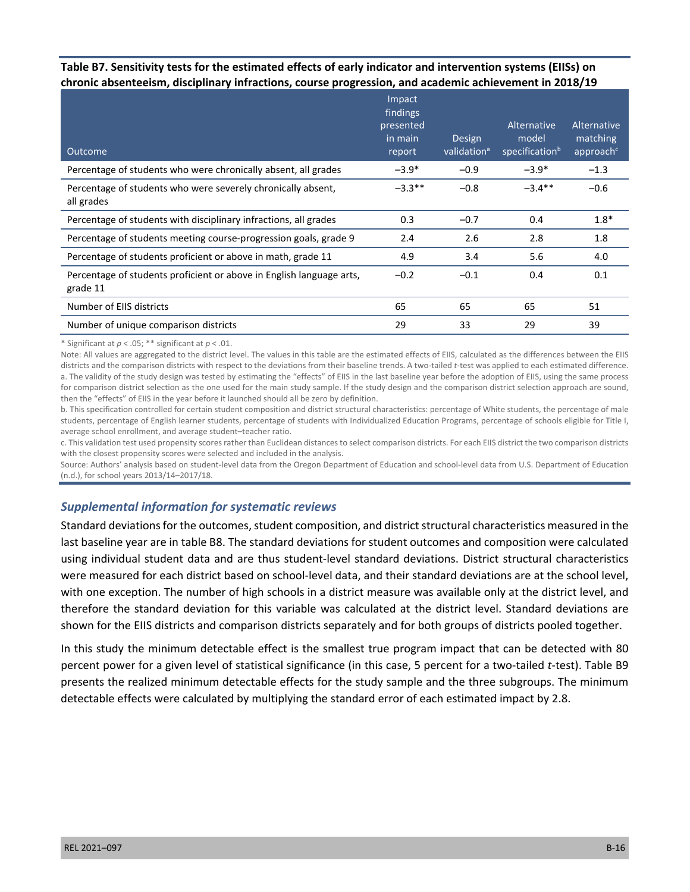#### **Table B7. Sensitivity tests for the estimated effects of early indicator and intervention systems (EIISs) on chronic absenteeism, disciplinary infractions, course progression, and academic achievement in 2018/19**

| Outcome                                                                          | Impact<br>findings<br>presented<br>in main<br>report | <b>Design</b><br>validation <sup>a</sup> | Alternative<br>model<br>specification <sup>b</sup> | Alternative<br>matching<br>approach <sup>c</sup> |
|----------------------------------------------------------------------------------|------------------------------------------------------|------------------------------------------|----------------------------------------------------|--------------------------------------------------|
| Percentage of students who were chronically absent, all grades                   | $-3.9*$                                              | $-0.9$                                   | $-3.9*$                                            | $-1.3$                                           |
| Percentage of students who were severely chronically absent,<br>all grades       | $-3.3**$                                             | $-0.8$                                   | $-3.4***$                                          | $-0.6$                                           |
| Percentage of students with disciplinary infractions, all grades                 | 0.3                                                  | $-0.7$                                   | 0.4                                                | $1.8*$                                           |
| Percentage of students meeting course-progression goals, grade 9                 | 2.4                                                  | 2.6                                      | 2.8                                                | 1.8                                              |
| Percentage of students proficient or above in math, grade 11                     | 4.9                                                  | 3.4                                      | 5.6                                                | 4.0                                              |
| Percentage of students proficient or above in English language arts,<br>grade 11 | $-0.2$                                               | $-0.1$                                   | 0.4                                                | 0.1                                              |
| Number of EIIS districts                                                         | 65                                                   | 65                                       | 65                                                 | 51                                               |
| Number of unique comparison districts                                            | 29                                                   | 33                                       | 29                                                 | 39                                               |

\* Significant at *p* < .05; \*\* significant at *p* < .01.

Note: All values are aggregated to the district level. The values in this table are the estimated effects of EIIS, calculated as the differences between the EIIS districts and the comparison districts with respect to the deviations from their baseline trends. A two-tailed *t*-test was applied to each estimated difference. a. The validity of the study design was tested by estimating the "effects" of EIIS in the last baseline year before the adoption of EIIS, using the same process for comparison district selection as the one used for the main study sample. If the study design and the comparison district selection approach are sound, then the "effects" of EIIS in the year before it launched should all be zero by definition.

b. This specification controlled for certain student composition and district structural characteristics: percentage of White students, the percentage of male students, percentage of English learner students, percentage of students with Individualized Education Programs, percentage of schools eligible for Title I, average school enrollment, and average student–teacher ratio.

c. This validation test used propensity scores rather than Euclidean distances to select comparison districts. For each EIIS district the two comparison districts with the closest propensity scores were selected and included in the analysis.

Source: Authors' analysis based on student-level data from the Oregon Department of Education and school-level data from U.S. Department of Education (n.d.), for school years 2013/14–2017/18.

#### *Supplemental information for systematic reviews*

Standard deviations for the outcomes, student composition, and district structural characteristics measured in the last baseline year are in table B8. The standard deviations for student outcomes and composition were calculated using individual student data and are thus student-level standard deviations. District structural characteristics were measured for each district based on school-level data, and their standard deviations are at the school level, with one exception. The number of high schools in a district measure was available only at the district level, and therefore the standard deviation for this variable was calculated at the district level. Standard deviations are shown for the EIIS districts and comparison districts separately and for both groups of districts pooled together.

In this study the minimum detectable effect is the smallest true program impact that can be detected with 80 percent power for a given level of statistical significance (in this case, 5 percent for a two-tailed *t*-test). Table B9 presents the realized minimum detectable effects for the study sample and the three subgroups. The minimum detectable effects were calculated by multiplying the standard error of each estimated impact by 2.8.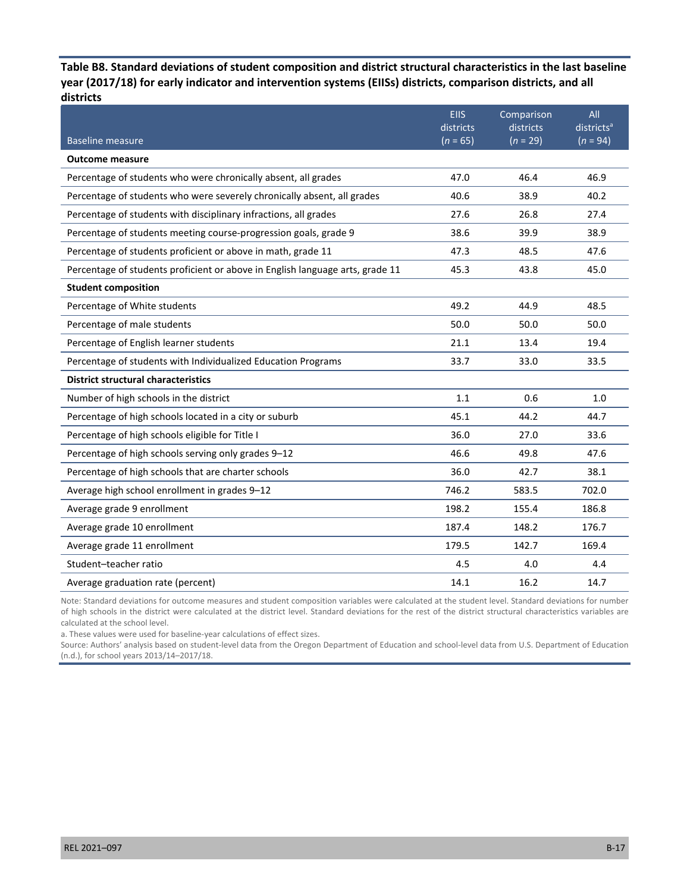**Table B8. Standard deviations of student composition and district structural characteristics in the last baseline year (2017/18) for early indicator and intervention systems (EIISs) districts, comparison districts, and all districts** 

| <b>Baseline measure</b>                                                       | <b>EIIS</b><br>districts<br>$(n = 65)$ | Comparison<br>districts<br>$(n = 29)$ | All<br>districts <sup>a</sup><br>$(n = 94)$ |
|-------------------------------------------------------------------------------|----------------------------------------|---------------------------------------|---------------------------------------------|
| <b>Outcome measure</b>                                                        |                                        |                                       |                                             |
| Percentage of students who were chronically absent, all grades                | 47.0                                   | 46.4                                  | 46.9                                        |
| Percentage of students who were severely chronically absent, all grades       | 40.6                                   | 38.9                                  | 40.2                                        |
| Percentage of students with disciplinary infractions, all grades              | 27.6                                   | 26.8                                  | 27.4                                        |
| Percentage of students meeting course-progression goals, grade 9              | 38.6                                   | 39.9                                  | 38.9                                        |
| Percentage of students proficient or above in math, grade 11                  | 47.3                                   | 48.5                                  | 47.6                                        |
| Percentage of students proficient or above in English language arts, grade 11 | 45.3                                   | 43.8                                  | 45.0                                        |
| <b>Student composition</b>                                                    |                                        |                                       |                                             |
| Percentage of White students                                                  | 49.2                                   | 44.9                                  | 48.5                                        |
| Percentage of male students                                                   | 50.0                                   | 50.0                                  | 50.0                                        |
| Percentage of English learner students                                        | 21.1                                   | 13.4                                  | 19.4                                        |
| Percentage of students with Individualized Education Programs                 | 33.7                                   | 33.0                                  | 33.5                                        |
| <b>District structural characteristics</b>                                    |                                        |                                       |                                             |
| Number of high schools in the district                                        | 1.1                                    | 0.6                                   | 1.0                                         |
| Percentage of high schools located in a city or suburb                        | 45.1                                   | 44.2                                  | 44.7                                        |
| Percentage of high schools eligible for Title I                               | 36.0                                   | 27.0                                  | 33.6                                        |
| Percentage of high schools serving only grades 9-12                           | 46.6                                   | 49.8                                  | 47.6                                        |
| Percentage of high schools that are charter schools                           | 36.0                                   | 42.7                                  | 38.1                                        |
| Average high school enrollment in grades 9-12                                 | 746.2                                  | 583.5                                 | 702.0                                       |
| Average grade 9 enrollment                                                    | 198.2                                  | 155.4                                 | 186.8                                       |
| Average grade 10 enrollment                                                   | 187.4                                  | 148.2                                 | 176.7                                       |
| Average grade 11 enrollment                                                   | 179.5                                  | 142.7                                 | 169.4                                       |
| Student-teacher ratio                                                         | 4.5                                    | 4.0                                   | 4.4                                         |
| Average graduation rate (percent)                                             | 14.1                                   | 16.2                                  | 14.7                                        |

Note: Standard deviations for outcome measures and student composition variables were calculated at the student level. Standard deviations for number of high schools in the district were calculated at the district level. Standard deviations for the rest of the district structural characteristics variables are calculated at the school level.

a. These values were used for baseline-year calculations of effect sizes.

Source: Authors' analysis based on student-level data from the Oregon Department of Education and school-level data from U.S. Department of Education (n.d.), for school years 2013/14–2017/18.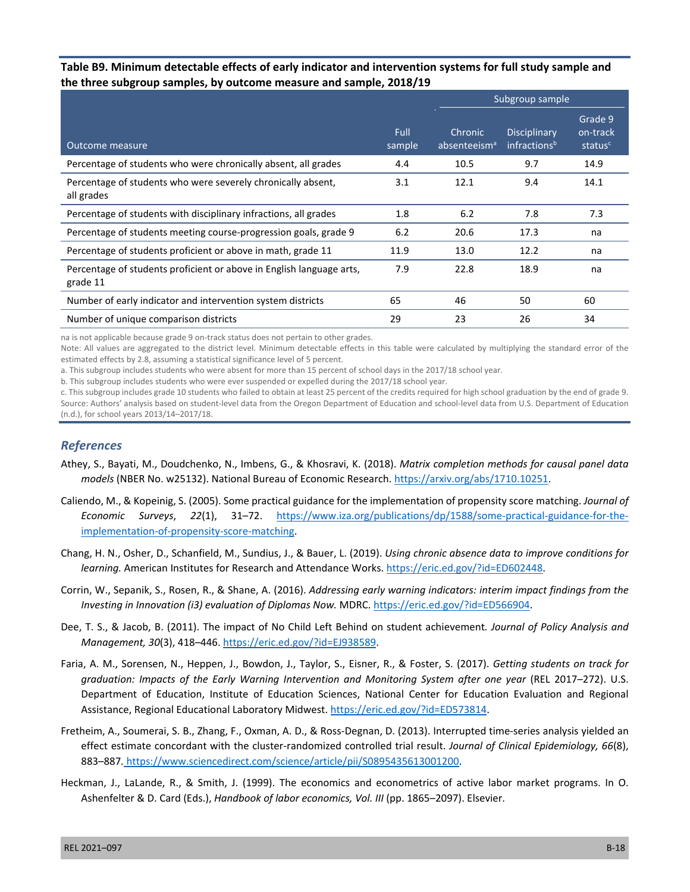#### **Table B9. Minimum detectable effects of early indicator and intervention systems for full study sample and the three subgroup samples, by outcome measure and sample, 2018/19**

|                                                                                  |                |                                     | Subgroup sample                                 |                                            |
|----------------------------------------------------------------------------------|----------------|-------------------------------------|-------------------------------------------------|--------------------------------------------|
| Outcome measure                                                                  | Full<br>sample | Chronic<br>absenteeism <sup>a</sup> | <b>Disciplinary</b><br>infractions <sup>b</sup> | Grade 9<br>on-track<br>status <sup>c</sup> |
| Percentage of students who were chronically absent, all grades                   | 4.4            | 10.5                                | 9.7                                             | 14.9                                       |
| Percentage of students who were severely chronically absent,<br>all grades       | 3.1            | 12.1                                | 9.4                                             | 14.1                                       |
| Percentage of students with disciplinary infractions, all grades                 | 1.8            | 6.2                                 | 7.8                                             | 7.3                                        |
| Percentage of students meeting course-progression goals, grade 9                 | 6.2            | 20.6                                | 17.3                                            | na                                         |
| Percentage of students proficient or above in math, grade 11                     | 11.9           | 13.0                                | 12.2                                            | na                                         |
| Percentage of students proficient or above in English language arts,<br>grade 11 | 7.9            | 22.8                                | 18.9                                            | na                                         |
| Number of early indicator and intervention system districts                      | 65             | 46                                  | 50                                              | 60                                         |
| Number of unique comparison districts                                            | 29             | 23                                  | 26                                              | 34                                         |

na is not applicable because grade 9 on-track status does not pertain to other grades.

Note: All values are aggregated to the district level. Minimum detectable effects in this table were calculated by multiplying the standard error of the estimated effects by 2.8, assuming a statistical significance level of 5 percent.

a. This subgroup includes students who were absent for more than 15 percent of school days in the 2017/18 school year.

b. This subgroup includes students who were ever suspended or expelled during the 2017/18 school year.

c. This subgroup includes grade 10 students who failed to obtain at least 25 percent of the credits required for high school graduation by the end of grade 9. Source: Authors' analysis based on student-level data from the Oregon Department of Education and school-level data from U.S. Department of Education (n.d.), for school years 2013/14–2017/18.

#### *References*

- Athey, S., Bayati, M., Doudchenko, N., Imbens, G., & Khosravi, K. (2018). *Matrix completion methods for causal panel data models* (NBER No. w25132). National Bureau of Economic Research. [https://arxiv.org/abs/1710.10251.](https://arxiv.org/abs/1710.10251)
- Caliendo, M., & Kopeinig, S. (2005). Some practical guidance for the implementation of propensity score matching. *Journal of Economic Surveys*, *22*(1), 31–72. [https://www.iza.org/publications/dp/1588/some-practical-guidance-for-the](https://www.iza.org/publications/dp/1588/some-practical-guidance-for-the-implementation-of-propensity-score-matching)[implementation-of-propensity-score-matching](https://www.iza.org/publications/dp/1588/some-practical-guidance-for-the-implementation-of-propensity-score-matching).
- Chang, H. N., Osher, D., Schanfield, M., Sundius, J., & Bauer, L. (2019). *Using chronic absence data to improve conditions for learning.* American Institutes for Research and Attendance Works. [https://eric.ed.gov/?id=ED602448.](https://eric.ed.gov/?id=ED602448)
- Corrin, W., Sepanik, S., Rosen, R., & Shane, A. (2016). *Addressing early warning indicators: interim impact findings from the Investing in Innovation (i3) evaluation of Diplomas Now.* MDRC. <https://eric.ed.gov/?id=ED566904>.
- Dee, T. S., & Jacob, B. (2011). The impact of No Child Left Behind on student achievement*. Journal of Policy Analysis and Management, 30*(3), 418–446. [https://eric.ed.gov/?id=EJ938589.](https://eric.ed.gov/?id=EJ938589)
- Faria, A. M., Sorensen, N., Heppen, J., Bowdon, J., Taylor, S., Eisner, R., & Foster, S. (2017). *Getting students on track for graduation: Impacts of the Early Warning Intervention and Monitoring System after one year* (REL 2017–272). U.S. Department of Education, Institute of Education Sciences, National Center for Education Evaluation and Regional Assistance, Regional Educational Laboratory Midwest. <https://eric.ed.gov/?id=ED573814>.
- Fretheim, A., Soumerai, S. B., Zhang, F., Oxman, A. D., & Ross-Degnan, D. (2013). Interrupted time-series analysis yielded an effect estimate concordant with the cluster-randomized controlled trial result. *Journal of Clinical Epidemiology, 66*(8), 883–887*.* [https://www.sciencedirect.com/science/article/pii/S0895435613001200.](https://www.sciencedirect.com/science/article/pii/S0895435613001200)
- Heckman, J., LaLande, R., & Smith, J. (1999). The economics and econometrics of active labor market programs. In O. Ashenfelter & D. Card (Eds.), *Handbook of labor economics, Vol. III* (pp. 1865–2097). Elsevier.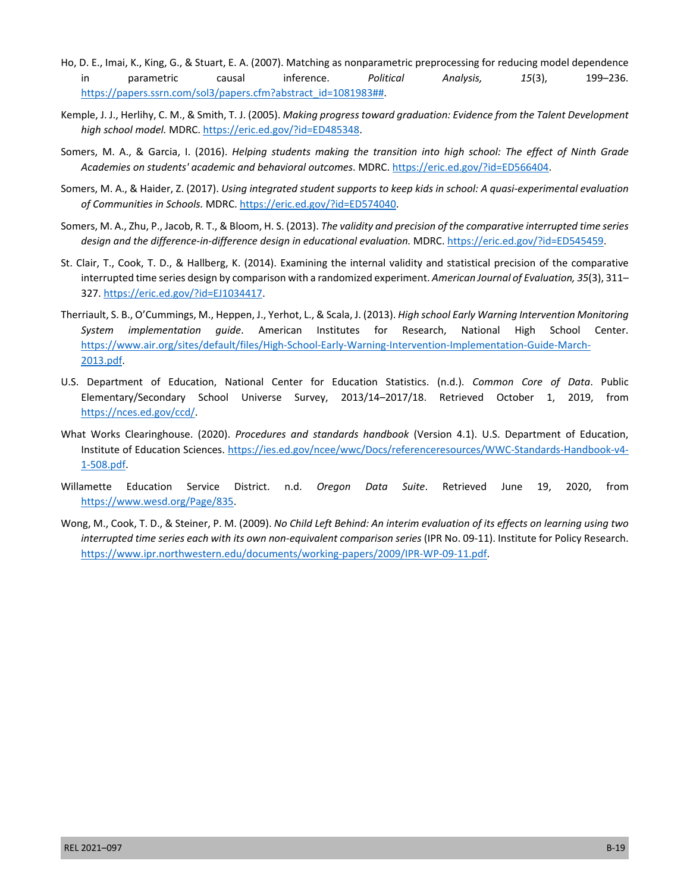- Ho, D. E., Imai, K., King, G., & Stuart, E. A. (2007). Matching as nonparametric preprocessing for reducing model dependence in parametric causal inference. *Political Analysis, 15*(3), 199–236. [https://papers.ssrn.com/sol3/papers.cfm?abstract\\_id=1081983##.](https://papers.ssrn.com/sol3/papers.cfm?abstract_id=1081983#)
- Kemple, J. J., Herlihy, C. M., & Smith, T. J. (2005). *Making progress toward graduation: Evidence from the Talent Development high school model.* MDRC. [https://eric.ed.gov/?id=ED485348.](https://eric.ed.gov/?id=ED485348)
- Somers, M. A., & Garcia, I. (2016). *Helping students making the transition into high school: The effect of Ninth Grade Academies on students' academic and behavioral outcomes*. MDRC. <https://eric.ed.gov/?id=ED566404>.
- Somers, M. A., & Haider, Z. (2017). *Using integrated student supports to keep kids in school: A quasi-experimental evaluation of Communities in Schools.* MDRC. [https://eric.ed.gov/?id=ED574040.](https://eric.ed.gov/?id=ED574040)
- Somers, M. A., Zhu, P., Jacob, R. T., & Bloom, H. S. (2013). *The validity and precision of the comparative interrupted time series design and the difference-in-difference design in educational evaluation.* MDRC. [https://eric.ed.gov/?id=ED545459.](https://eric.ed.gov/?id=ED545459)
- St. Clair, T., Cook, T. D., & Hallberg, K. (2014). Examining the internal validity and statistical precision of the comparative interrupted time series design by comparison with a randomized experiment. *American Journal of Evaluation, 35*(3), 311– 327. [https://eric.ed.gov/?id=EJ1034417.](https://eric.ed.gov/?id=EJ1034417)
- Therriault, S. B., O'Cummings, M., Heppen, J., Yerhot, L., & Scala, J. (2013). *High school Early Warning Intervention Monitoring System implementation guide*. American Institutes for Research, National High School Center. [https://www.air.org/sites/default/files/High-School-Early-Warning-Intervention-Implementation-Guide-March-](https://www.air.org/sites/default/files/High-School-Early-Warning-Intervention-Implementation-Guide-March-2013.pdf)[2013.pdf.](https://www.air.org/sites/default/files/High-School-Early-Warning-Intervention-Implementation-Guide-March-2013.pdf)
- U.S. Department of Education, National Center for Education Statistics. (n.d.). *Common Core of Data*. Public Elementary/Secondary School Universe Survey, 2013/14–2017/18. Retrieved October 1, 2019, from [https://nces.ed.gov/ccd/.](https://nces.ed.gov/ccd/)
- What Works Clearinghouse. (2020). *Procedures and standards handbook* (Version 4.1). U.S. Department of Education, Institute of Education Sciences. [https://ies.ed.gov/ncee/wwc/Docs/referenceresources/WWC-Standards-Handbook-v4-](https://ies.ed.gov/ncee/wwc/Docs/referenceresources/WWC-Standards-Handbook-v4-1-508.pdf) [1-508.pdf.](https://ies.ed.gov/ncee/wwc/Docs/referenceresources/WWC-Standards-Handbook-v4-1-508.pdf)
- Willamette Education Service District. n.d. *Oregon Data Suite*. Retrieved June 19, 2020, from [https://www.wesd.org/Page/835.](https://www.wesd.org/Page/835)
- Wong, M., Cook, T. D., & Steiner, P. M. (2009). *No Child Left Behind: An interim evaluation of its effects on learning using two interrupted time series each with its own non-equivalent comparison series* (IPR No. 09-11). Institute for Policy Research. [https://www.ipr.northwestern.edu/documents/working-papers/2009/IPR-WP-09-11.pdf.](https://www.ipr.northwestern.edu/documents/working-papers/2009/IPR-WP-09-11.pdf)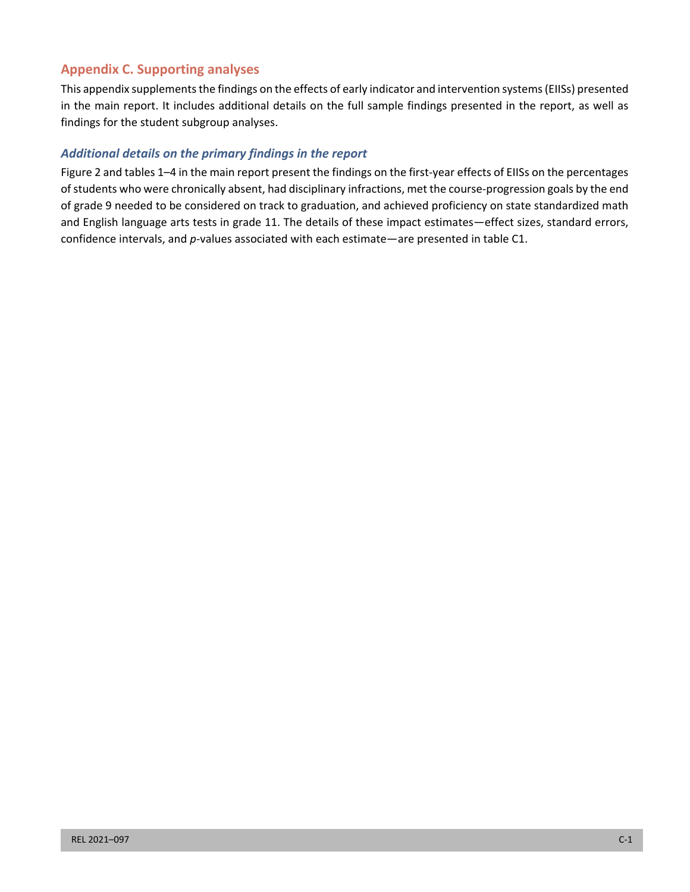# **Appendix C. Supporting analyses**

This appendix supplements the findings on the effects of early indicator and intervention systems (EIISs) presented in the main report. It includes additional details on the full sample findings presented in the report, as well as findings for the student subgroup analyses.

## *Additional details on the primary findings in the report*

Figure 2 and tables 1–4 in the main report present the findings on the first-year effects of EIISs on the percentages of students who were chronically absent, had disciplinary infractions, met the course-progression goals by the end of grade 9 needed to be considered on track to graduation, and achieved proficiency on state standardized math and English language arts tests in grade 11. The details of these impact estimates—effect sizes, standard errors, confidence intervals, and *p*-values associated with each estimate—are presented in table C1.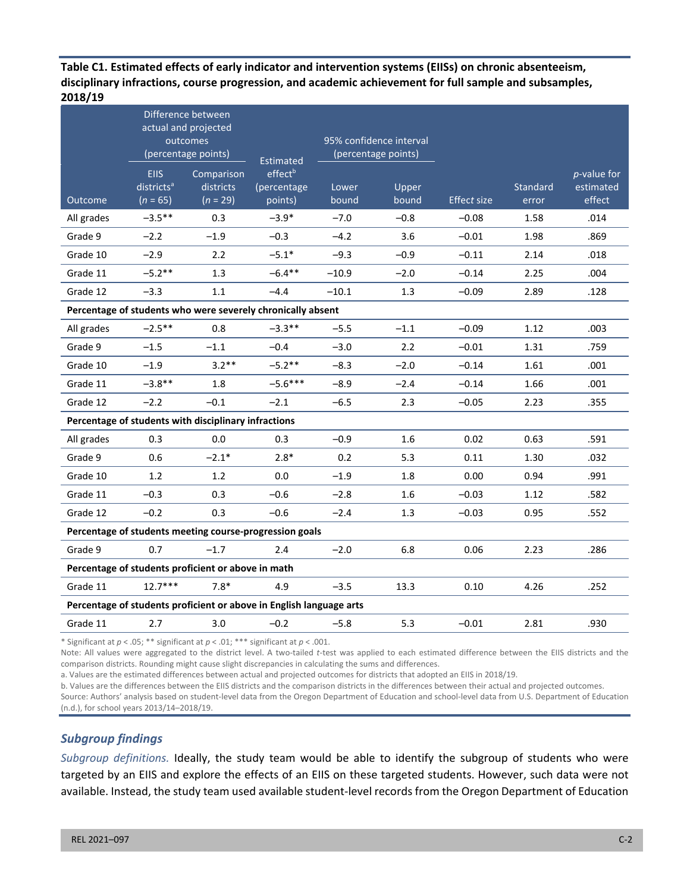**Table C1. Estimated effects of early indicator and intervention systems (EIISs) on chronic absenteeism, disciplinary infractions, course progression, and academic achievement for full sample and subsamples, 2018/19** 

|                                                             |                                                     | Difference between<br>actual and projected<br>outcomes<br>(percentage points) | <b>Estimated</b>                              | 95% confidence interval<br>(percentage points) |                |                    |                   |                                            |
|-------------------------------------------------------------|-----------------------------------------------------|-------------------------------------------------------------------------------|-----------------------------------------------|------------------------------------------------|----------------|--------------------|-------------------|--------------------------------------------|
| Outcome                                                     | <b>EIIS</b><br>districts <sup>a</sup><br>$(n = 65)$ | Comparison<br>districts<br>$(n = 29)$                                         | effect <sup>b</sup><br>(percentage<br>points) | Lower<br>bound                                 | Upper<br>bound | <b>Effect size</b> | Standard<br>error | <i>p</i> -value for<br>estimated<br>effect |
| All grades                                                  | $-3.5***$                                           | 0.3                                                                           | $-3.9*$                                       | $-7.0$                                         | $-0.8$         | $-0.08$            | 1.58              | .014                                       |
| Grade 9                                                     | $-2.2$                                              | $-1.9$                                                                        | $-0.3$                                        | $-4.2$                                         | 3.6            | $-0.01$            | 1.98              | .869                                       |
| Grade 10                                                    | $-2.9$                                              | 2.2                                                                           | $-5.1*$                                       | $-9.3$                                         | $-0.9$         | $-0.11$            | 2.14              | .018                                       |
| Grade 11                                                    | $-5.2**$                                            | 1.3                                                                           | $-6.4***$                                     | $-10.9$                                        | $-2.0$         | $-0.14$            | 2.25              | .004                                       |
| Grade 12                                                    | $-3.3$                                              | $1.1$                                                                         | $-4.4$                                        | $-10.1$                                        | 1.3            | $-0.09$            | 2.89              | .128                                       |
| Percentage of students who were severely chronically absent |                                                     |                                                                               |                                               |                                                |                |                    |                   |                                            |
| All grades                                                  | $-2.5***$                                           | 0.8                                                                           | $-3.3**$                                      | $-5.5$                                         | $-1.1$         | $-0.09$            | 1.12              | .003                                       |
| Grade 9                                                     | $-1.5$                                              | $-1.1$                                                                        | $-0.4$                                        | $-3.0$                                         | 2.2            | $-0.01$            | 1.31              | .759                                       |
| Grade 10                                                    | $-1.9$                                              | $3.2**$                                                                       | $-5.2**$                                      | $-8.3$                                         | $-2.0$         | $-0.14$            | 1.61              | .001                                       |
| Grade 11                                                    | $-3.8**$                                            | 1.8                                                                           | $-5.6***$                                     | $-8.9$                                         | $-2.4$         | $-0.14$            | 1.66              | .001                                       |
| Grade 12                                                    | $-2.2$                                              | $-0.1$                                                                        | $-2.1$                                        | $-6.5$                                         | 2.3            | $-0.05$            | 2.23              | .355                                       |
|                                                             |                                                     | Percentage of students with disciplinary infractions                          |                                               |                                                |                |                    |                   |                                            |
| All grades                                                  | 0.3                                                 | 0.0                                                                           | 0.3                                           | $-0.9$                                         | 1.6            | 0.02               | 0.63              | .591                                       |
| Grade 9                                                     | 0.6                                                 | $-2.1*$                                                                       | $2.8*$                                        | 0.2                                            | 5.3            | 0.11               | 1.30              | .032                                       |
| Grade 10                                                    | 1.2                                                 | 1.2                                                                           | 0.0                                           | $-1.9$                                         | 1.8            | 0.00               | 0.94              | .991                                       |
| Grade 11                                                    | $-0.3$                                              | 0.3                                                                           | $-0.6$                                        | $-2.8$                                         | 1.6            | $-0.03$            | 1.12              | .582                                       |
| Grade 12                                                    | $-0.2$                                              | 0.3                                                                           | $-0.6$                                        | $-2.4$                                         | 1.3            | $-0.03$            | 0.95              | .552                                       |
|                                                             |                                                     | Percentage of students meeting course-progression goals                       |                                               |                                                |                |                    |                   |                                            |
| Grade 9                                                     | 0.7                                                 | $-1.7$                                                                        | 2.4                                           | $-2.0$                                         | 6.8            | 0.06               | 2.23              | .286                                       |
|                                                             |                                                     | Percentage of students proficient or above in math                            |                                               |                                                |                |                    |                   |                                            |
| Grade 11                                                    | $12.7***$                                           | $7.8*$                                                                        | 4.9                                           | $-3.5$                                         | 13.3           | 0.10               | 4.26              | .252                                       |
|                                                             |                                                     | Percentage of students proficient or above in English language arts           |                                               |                                                |                |                    |                   |                                            |
| Grade 11                                                    | 2.7                                                 | 3.0                                                                           | $-0.2$                                        | $-5.8$                                         | 5.3            | $-0.01$            | 2.81              | .930                                       |

\* Significant at *p* < .05; \*\* significant at *p* < .01; \*\*\* significant at *p* < .001.

Note: All values were aggregated to the district level. A two-tailed *t*-test was applied to each estimated difference between the EIIS districts and the comparison districts. Rounding might cause slight discrepancies in calculating the sums and differences.

a. Values are the estimated differences between actual and projected outcomes for districts that adopted an EIIS in 2018/19.

b. Values are the differences between the EIIS districts and the comparison districts in the differences between their actual and projected outcomes.

Source: Authors' analysis based on student-level data from the Oregon Department of Education and school-level data from U.S. Department of Education (n.d.), for school years 2013/14–2018/19.

#### *Subgroup findings*

*Subgroup definitions.* Ideally, the study team would be able to identify the subgroup of students who were targeted by an EIIS and explore the effects of an EIIS on these targeted students. However, such data were not available. Instead, the study team used available student-level records from the Oregon Department of Education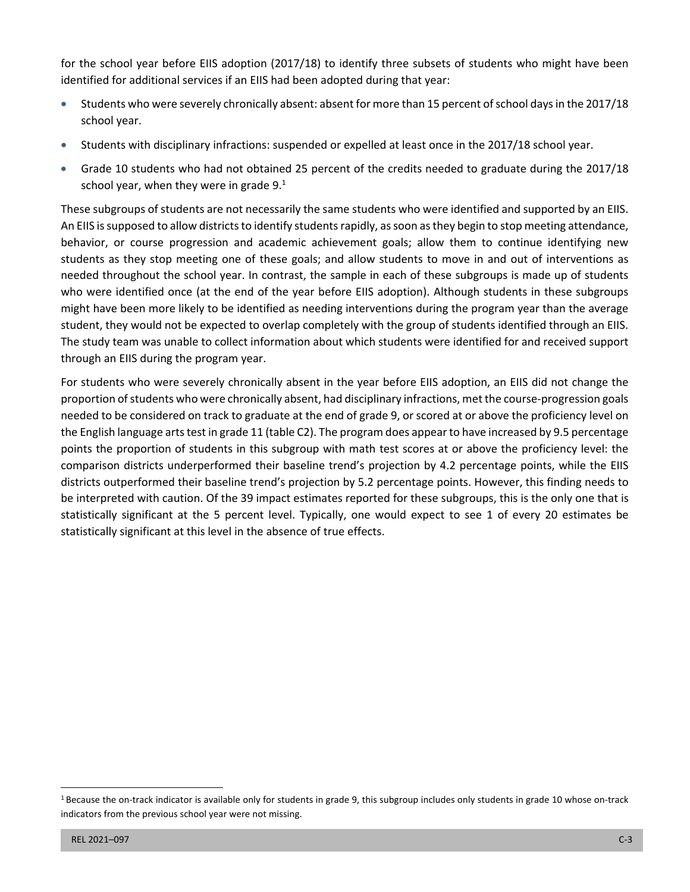for the school year before EIIS adoption (2017/18) to identify three subsets of students who might have been identified for additional services if an EIIS had been adopted during that year:

- Students who were severely chronically absent: absent for more than 15 percent of school days in the 2017/18 school year.
- Students with disciplinary infractions: suspended or expelled at least once in the 2017/18 school year.
- Grade 10 students who had not obtained 25 percent of the credits needed to graduate during the 2017/18 school year, when they were in grade  $9.<sup>1</sup>$

These subgroups of students are not necessarily the same students who were identified and supported by an EIIS. An EIIS is supposed to allow districts to identify students rapidly, as soon as they begin to stop meeting attendance, behavior, or course progression and academic achievement goals; allow them to continue identifying new students as they stop meeting one of these goals; and allow students to move in and out of interventions as needed throughout the school year. In contrast, the sample in each of these subgroups is made up of students who were identified once (at the end of the year before EIIS adoption). Although students in these subgroups might have been more likely to be identified as needing interventions during the program year than the average student, they would not be expected to overlap completely with the group of students identified through an EIIS. The study team was unable to collect information about which students were identified for and received support through an EIIS during the program year.

For students who were severely chronically absent in the year before EIIS adoption, an EIIS did not change the proportion of students who were chronically absent, had disciplinary infractions, met the course-progression goals needed to be considered on track to graduate at the end of grade 9, or scored at or above the proficiency level on the English language arts test in grade 11 (table C2). The program does appear to have increased by 9.5 percentage points the proportion of students in this subgroup with math test scores at or above the proficiency level: the comparison districts underperformed their baseline trend's projection by 4.2 percentage points, while the EIIS districts outperformed their baseline trend's projection by 5.2 percentage points. However, this finding needs to be interpreted with caution. Of the 39 impact estimates reported for these subgroups, this is the only one that is statistically significant at the 5 percent level. Typically, one would expect to see 1 of every 20 estimates be statistically significant at this level in the absence of true effects.

 $1$  Because the on-track indicator is available only for students in grade 9, this subgroup includes only students in grade 10 whose on-track indicators from the previous school year were not missing.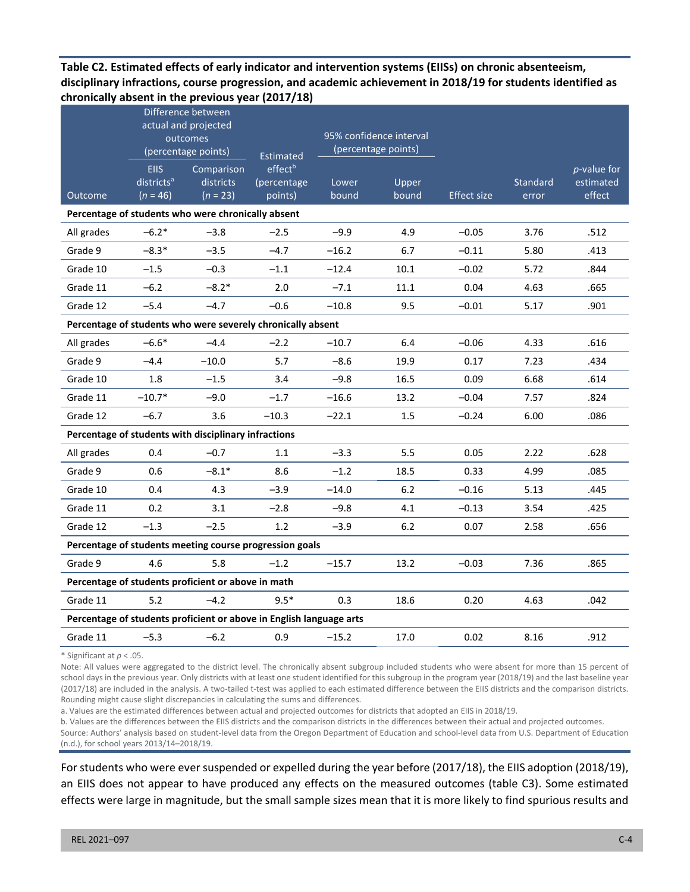## **Table C2. Estimated effects of early indicator and intervention systems (EIISs) on chronic absenteeism, disciplinary infractions, course progression, and academic achievement in 2018/19 for students identified as chronically absent in the previous year (2017/18)**

|                                                                     | Difference between<br>actual and projected<br>outcomes<br>(percentage points) |                                                      | Estimated                                     | 95% confidence interval<br>(percentage points) |                |                    |                   |                                            |  |
|---------------------------------------------------------------------|-------------------------------------------------------------------------------|------------------------------------------------------|-----------------------------------------------|------------------------------------------------|----------------|--------------------|-------------------|--------------------------------------------|--|
| Outcome                                                             | <b>EIIS</b><br>districts <sup>a</sup><br>$(n = 46)$                           | Comparison<br>districts<br>$(n = 23)$                | effect <sup>b</sup><br>(percentage<br>points) | Lower<br>bound                                 | Upper<br>bound | <b>Effect size</b> | Standard<br>error | <i>p</i> -value for<br>estimated<br>effect |  |
| Percentage of students who were chronically absent                  |                                                                               |                                                      |                                               |                                                |                |                    |                   |                                            |  |
| All grades                                                          | $-6.2*$                                                                       | $-3.8$                                               | $-2.5$                                        | $-9.9$                                         | 4.9            | $-0.05$            | 3.76              | .512                                       |  |
| Grade 9                                                             | $-8.3*$                                                                       | $-3.5$                                               | $-4.7$                                        | $-16.2$                                        | 6.7            | $-0.11$            | 5.80              | .413                                       |  |
| Grade 10                                                            | $-1.5$                                                                        | $-0.3$                                               | $-1.1$                                        | $-12.4$                                        | 10.1           | $-0.02$            | 5.72              | .844                                       |  |
| Grade 11                                                            | $-6.2$                                                                        | $-8.2*$                                              | 2.0                                           | $-7.1$                                         | 11.1           | 0.04               | 4.63              | .665                                       |  |
| Grade 12                                                            | $-5.4$                                                                        | $-4.7$                                               | $-0.6$                                        | $-10.8$                                        | 9.5            | $-0.01$            | 5.17              | .901                                       |  |
| Percentage of students who were severely chronically absent         |                                                                               |                                                      |                                               |                                                |                |                    |                   |                                            |  |
| All grades                                                          | $-6.6*$                                                                       | $-4.4$                                               | $-2.2$                                        | $-10.7$                                        | 6.4            | $-0.06$            | 4.33              | .616                                       |  |
| Grade 9                                                             | $-4.4$                                                                        | $-10.0$                                              | 5.7                                           | $-8.6$                                         | 19.9           | 0.17               | 7.23              | .434                                       |  |
| Grade 10                                                            | 1.8                                                                           | $-1.5$                                               | 3.4                                           | $-9.8$                                         | 16.5           | 0.09               | 6.68              | .614                                       |  |
| Grade 11                                                            | $-10.7*$                                                                      | $-9.0$                                               | $-1.7$                                        | $-16.6$                                        | 13.2           | $-0.04$            | 7.57              | .824                                       |  |
| Grade 12                                                            | $-6.7$                                                                        | 3.6                                                  | $-10.3$                                       | $-22.1$                                        | 1.5            | $-0.24$            | 6.00              | .086                                       |  |
|                                                                     |                                                                               | Percentage of students with disciplinary infractions |                                               |                                                |                |                    |                   |                                            |  |
| All grades                                                          | 0.4                                                                           | $-0.7$                                               | 1.1                                           | $-3.3$                                         | 5.5            | 0.05               | 2.22              | .628                                       |  |
| Grade 9                                                             | 0.6                                                                           | $-8.1*$                                              | 8.6                                           | $-1.2$                                         | 18.5           | 0.33               | 4.99              | .085                                       |  |
| Grade 10                                                            | 0.4                                                                           | 4.3                                                  | $-3.9$                                        | $-14.0$                                        | 6.2            | $-0.16$            | 5.13              | .445                                       |  |
| Grade 11                                                            | 0.2                                                                           | 3.1                                                  | $-2.8$                                        | $-9.8$                                         | 4.1            | $-0.13$            | 3.54              | .425                                       |  |
| Grade 12                                                            | $-1.3$                                                                        | $-2.5$                                               | 1.2                                           | $-3.9$                                         | $6.2$          | 0.07               | 2.58              | .656                                       |  |
| Percentage of students meeting course progression goals             |                                                                               |                                                      |                                               |                                                |                |                    |                   |                                            |  |
| Grade 9                                                             | 4.6                                                                           | 5.8                                                  | $-1.2$                                        | $-15.7$                                        | 13.2           | $-0.03$            | 7.36              | .865                                       |  |
| Percentage of students proficient or above in math                  |                                                                               |                                                      |                                               |                                                |                |                    |                   |                                            |  |
| Grade 11                                                            | 5.2                                                                           | $-4.2$                                               | $9.5*$                                        | 0.3                                            | 18.6           | 0.20               | 4.63              | .042                                       |  |
| Percentage of students proficient or above in English language arts |                                                                               |                                                      |                                               |                                                |                |                    |                   |                                            |  |
| Grade 11                                                            | $-5.3$                                                                        | $-6.2$                                               | 0.9                                           | $-15.2$                                        | 17.0           | 0.02               | 8.16              | .912                                       |  |

\* Significant at *p* < .05.

Note: All values were aggregated to the district level. The chronically absent subgroup included students who were absent for more than 15 percent of school days in the previous year. Only districts with at least one student identified for this subgroup in the program year (2018/19) and the last baseline year (2017/18) are included in the analysis. A two-tailed t-test was applied to each estimated difference between the EIIS districts and the comparison districts. Rounding might cause slight discrepancies in calculating the sums and differences.

a. Values are the estimated differences between actual and projected outcomes for districts that adopted an EIIS in 2018/19.

b. Values are the differences between the EIIS districts and the comparison districts in the differences between their actual and projected outcomes. Source: Authors' analysis based on student-level data from the Oregon Department of Education and school-level data from U.S. Department of Education (n.d.), for school years 2013/14–2018/19.

For students who were ever suspended or expelled during the year before (2017/18), the EIIS adoption (2018/19), an EIIS does not appear to have produced any effects on the measured outcomes (table C3). Some estimated effects were large in magnitude, but the small sample sizes mean that it is more likely to find spurious results and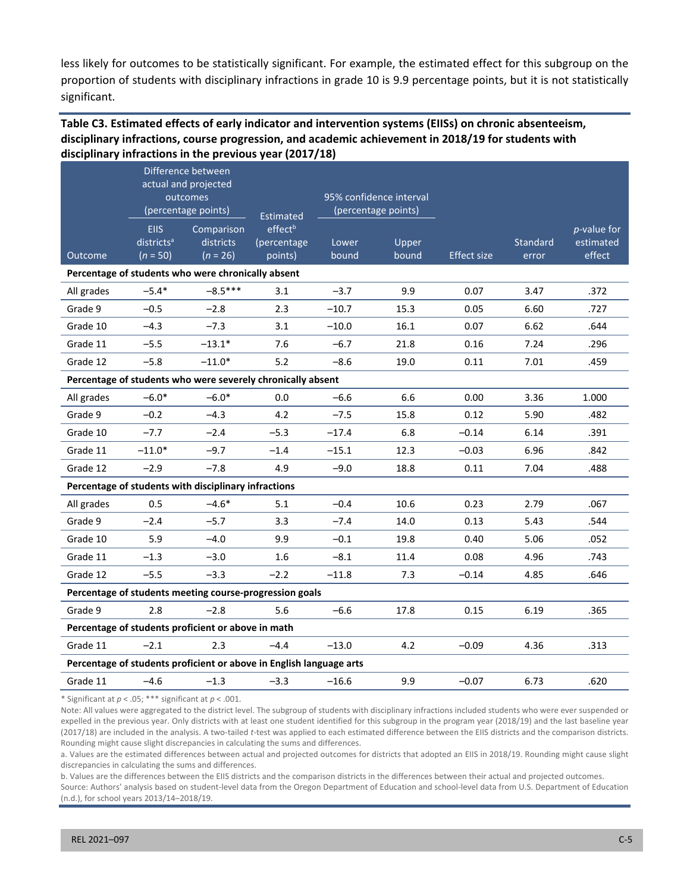less likely for outcomes to be statistically significant. For example, the estimated effect for this subgroup on the proportion of students with disciplinary infractions in grade 10 is 9.9 percentage points, but it is not statistically significant.

## **Table C3. Estimated effects of early indicator and intervention systems (EIISs) on chronic absenteeism, disciplinary infractions, course progression, and academic achievement in 2018/19 for students with disciplinary infractions in the previous year (2017/18)**

|                                                                     | Difference between<br>actual and projected<br>outcomes<br>(percentage points) |                                                      | Estimated                                     | 95% confidence interval<br>(percentage points) |                |                    |                   |                                       |  |  |
|---------------------------------------------------------------------|-------------------------------------------------------------------------------|------------------------------------------------------|-----------------------------------------------|------------------------------------------------|----------------|--------------------|-------------------|---------------------------------------|--|--|
| Outcome                                                             | <b>EIIS</b><br>districts <sup>a</sup><br>$(n = 50)$                           | Comparison<br>districts<br>$(n = 26)$                | effect <sup>b</sup><br>(percentage<br>points) | Lower<br>bound                                 | Upper<br>bound | <b>Effect size</b> | Standard<br>error | $p$ -value for<br>estimated<br>effect |  |  |
| Percentage of students who were chronically absent                  |                                                                               |                                                      |                                               |                                                |                |                    |                   |                                       |  |  |
| All grades                                                          | $-5.4*$                                                                       | $-8.5***$                                            | 3.1                                           | $-3.7$                                         | 9.9            | 0.07               | 3.47              | .372                                  |  |  |
| Grade 9                                                             | $-0.5$                                                                        | $-2.8$                                               | 2.3                                           | $-10.7$                                        | 15.3           | 0.05               | 6.60              | .727                                  |  |  |
| Grade 10                                                            | $-4.3$                                                                        | $-7.3$                                               | 3.1                                           | $-10.0$                                        | 16.1           | 0.07               | 6.62              | .644                                  |  |  |
| Grade 11                                                            | $-5.5$                                                                        | $-13.1*$                                             | 7.6                                           | $-6.7$                                         | 21.8           | 0.16               | 7.24              | .296                                  |  |  |
| Grade 12                                                            | $-5.8$                                                                        | $-11.0*$                                             | 5.2                                           | $-8.6$                                         | 19.0           | 0.11               | 7.01              | .459                                  |  |  |
| Percentage of students who were severely chronically absent         |                                                                               |                                                      |                                               |                                                |                |                    |                   |                                       |  |  |
| All grades                                                          | $-6.0*$                                                                       | $-6.0*$                                              | 0.0                                           | $-6.6$                                         | 6.6            | 0.00               | 3.36              | 1.000                                 |  |  |
| Grade 9                                                             | $-0.2$                                                                        | $-4.3$                                               | 4.2                                           | $-7.5$                                         | 15.8           | 0.12               | 5.90              | .482                                  |  |  |
| Grade 10                                                            | $-7.7$                                                                        | $-2.4$                                               | $-5.3$                                        | $-17.4$                                        | 6.8            | $-0.14$            | 6.14              | .391                                  |  |  |
| Grade 11                                                            | $-11.0*$                                                                      | $-9.7$                                               | $-1.4$                                        | $-15.1$                                        | 12.3           | $-0.03$            | 6.96              | .842                                  |  |  |
| Grade 12                                                            | $-2.9$                                                                        | $-7.8$                                               | 4.9                                           | $-9.0$                                         | 18.8           | 0.11               | 7.04              | .488                                  |  |  |
|                                                                     |                                                                               | Percentage of students with disciplinary infractions |                                               |                                                |                |                    |                   |                                       |  |  |
| All grades                                                          | 0.5                                                                           | $-4.6*$                                              | 5.1                                           | $-0.4$                                         | 10.6           | 0.23               | 2.79              | .067                                  |  |  |
| Grade 9                                                             | $-2.4$                                                                        | $-5.7$                                               | 3.3                                           | $-7.4$                                         | 14.0           | 0.13               | 5.43              | .544                                  |  |  |
| Grade 10                                                            | 5.9                                                                           | $-4.0$                                               | 9.9                                           | $-0.1$                                         | 19.8           | 0.40               | 5.06              | .052                                  |  |  |
| Grade 11                                                            | $-1.3$                                                                        | $-3.0$                                               | 1.6                                           | $-8.1$                                         | 11.4           | 0.08               | 4.96              | .743                                  |  |  |
| Grade 12                                                            | $-5.5$                                                                        | $-3.3$                                               | $-2.2$                                        | $-11.8$                                        | 7.3            | $-0.14$            | 4.85              | .646                                  |  |  |
| Percentage of students meeting course-progression goals             |                                                                               |                                                      |                                               |                                                |                |                    |                   |                                       |  |  |
| Grade 9                                                             | 2.8                                                                           | $-2.8$                                               | 5.6                                           | $-6.6$                                         | 17.8           | 0.15               | 6.19              | .365                                  |  |  |
| Percentage of students proficient or above in math                  |                                                                               |                                                      |                                               |                                                |                |                    |                   |                                       |  |  |
| Grade 11                                                            | $-2.1$                                                                        | 2.3                                                  | $-4.4$                                        | $-13.0$                                        | 4.2            | $-0.09$            | 4.36              | .313                                  |  |  |
| Percentage of students proficient or above in English language arts |                                                                               |                                                      |                                               |                                                |                |                    |                   |                                       |  |  |
| Grade 11                                                            | $-4.6$                                                                        | $-1.3$                                               | $-3.3$                                        | $-16.6$                                        | 9.9            | $-0.07$            | 6.73              | .620                                  |  |  |

\* Significant at *p* < .05; \*\*\* significant at *p* < .001.

Note: All values were aggregated to the district level. The subgroup of students with disciplinary infractions included students who were ever suspended or expelled in the previous year. Only districts with at least one student identified for this subgroup in the program year (2018/19) and the last baseline year (2017/18) are included in the analysis. A two-tailed *t*-test was applied to each estimated difference between the EIIS districts and the comparison districts. Rounding might cause slight discrepancies in calculating the sums and differences.

a. Values are the estimated differences between actual and projected outcomes for districts that adopted an EIIS in 2018/19. Rounding might cause slight discrepancies in calculating the sums and differences.

b. Values are the differences between the EIIS districts and the comparison districts in the differences between their actual and projected outcomes.

Source: Authors' analysis based on student-level data from the Oregon Department of Education and school-level data from U.S. Department of Education (n.d.), for school years 2013/14–2018/19.